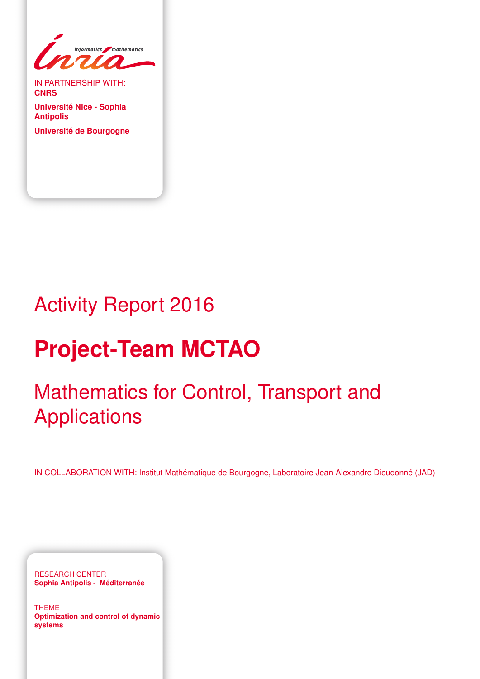

IN PARTNERSHIP WITH: **CNRS**

**Université Nice - Sophia Antipolis Université de Bourgogne**

# Activity Report 2016

# **Project-Team MCTAO**

# Mathematics for Control, Transport and Applications

IN COLLABORATION WITH: Institut Mathématique de Bourgogne, Laboratoire Jean-Alexandre Dieudonné (JAD)

RESEARCH CENTER **Sophia Antipolis - Méditerranée**

THEME **Optimization and control of dynamic systems**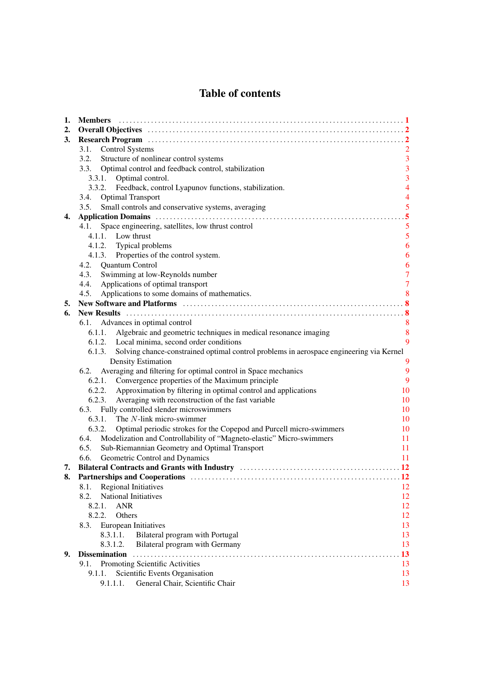# Table of contents

| 1. |                                                                                                |                         |  |  |  |
|----|------------------------------------------------------------------------------------------------|-------------------------|--|--|--|
| 2. |                                                                                                |                         |  |  |  |
| 3. |                                                                                                |                         |  |  |  |
|    | <b>Control Systems</b><br>3.1.                                                                 | $\overline{2}$          |  |  |  |
|    | 3.2.<br>Structure of nonlinear control systems                                                 | $\overline{3}$          |  |  |  |
|    | 3.3. Optimal control and feedback control, stabilization                                       | 3                       |  |  |  |
|    | 3.3.1. Optimal control.                                                                        | 3                       |  |  |  |
|    | 3.3.2. Feedback, control Lyapunov functions, stabilization.                                    | $\overline{4}$          |  |  |  |
|    | <b>Optimal Transport</b><br>3.4.                                                               | $\overline{4}$          |  |  |  |
|    | 3.5.<br>Small controls and conservative systems, averaging                                     | 5                       |  |  |  |
| 4. |                                                                                                | $\overline{.5}$         |  |  |  |
|    | Space engineering, satellites, low thrust control<br>4.1.                                      | 5                       |  |  |  |
|    | 4.1.1. Low thrust                                                                              | $\overline{\mathbf{5}}$ |  |  |  |
|    | 4.1.2. Typical problems                                                                        | 6                       |  |  |  |
|    | 4.1.3. Properties of the control system.                                                       | 6                       |  |  |  |
|    | 4.2. Quantum Control                                                                           | 6                       |  |  |  |
|    | 4.3.<br>Swimming at low-Reynolds number                                                        | $\overline{7}$          |  |  |  |
|    | Applications of optimal transport<br>4.4.                                                      | $\overline{7}$          |  |  |  |
|    | Applications to some domains of mathematics.<br>4.5.                                           | 8                       |  |  |  |
| 5. |                                                                                                |                         |  |  |  |
| 6. |                                                                                                |                         |  |  |  |
|    | Advances in optimal control<br>6.1.                                                            | 8                       |  |  |  |
|    | 6.1.1. Algebraic and geometric techniques in medical resonance imaging                         | $\boldsymbol{8}$        |  |  |  |
|    | 6.1.2. Local minima, second order conditions                                                   | 9                       |  |  |  |
|    | 6.1.3. Solving chance-constrained optimal control problems in aerospace engineering via Kernel |                         |  |  |  |
|    | <b>Density Estimation</b>                                                                      | 9                       |  |  |  |
|    | Averaging and filtering for optimal control in Space mechanics<br>6.2.                         | 9                       |  |  |  |
|    | 6.2.1. Convergence properties of the Maximum principle                                         | 9                       |  |  |  |
|    | 6.2.2. Approximation by filtering in optimal control and applications                          | 10                      |  |  |  |
|    | Averaging with reconstruction of the fast variable<br>6.2.3.                                   | 10                      |  |  |  |
|    | 6.3. Fully controlled slender microswimmers                                                    | 10                      |  |  |  |
|    | 6.3.1. The <i>N</i> -link micro-swimmer                                                        | 10                      |  |  |  |
|    | 6.3.2.<br>Optimal periodic strokes for the Copepod and Purcell micro-swimmers                  | 10                      |  |  |  |
|    | 6.4. Modelization and Controllability of "Magneto-elastic" Micro-swimmers                      | 11                      |  |  |  |
|    | Sub-Riemannian Geometry and Optimal Transport<br>6.5.                                          | 11                      |  |  |  |
|    | 6.6.<br>Geometric Control and Dynamics                                                         | 11                      |  |  |  |
| 7. |                                                                                                | $\overline{12}$         |  |  |  |
| 8. |                                                                                                |                         |  |  |  |
|    | <b>Regional Initiatives</b><br>8.1.<br><b>National Initiatives</b>                             | 12                      |  |  |  |
|    | 8.2.<br>8.2.1.<br><b>ANR</b>                                                                   | 12                      |  |  |  |
|    | Others                                                                                         | 12<br>12                |  |  |  |
|    | 8.2.2.                                                                                         |                         |  |  |  |
|    | 8.3.<br>European Initiatives                                                                   | 13                      |  |  |  |
|    | 8.3.1.1.<br>Bilateral program with Portugal                                                    | 13                      |  |  |  |
| 9. | 8.3.1.2.<br>Bilateral program with Germany<br><b>Dissemination</b>                             | 13<br>13                |  |  |  |
|    |                                                                                                | 13                      |  |  |  |
|    | Promoting Scientific Activities<br>9.1.                                                        |                         |  |  |  |
|    | 9.1.1.<br>Scientific Events Organisation<br>General Chair, Scientific Chair<br>9.1.1.1.        | 13<br>13                |  |  |  |
|    |                                                                                                |                         |  |  |  |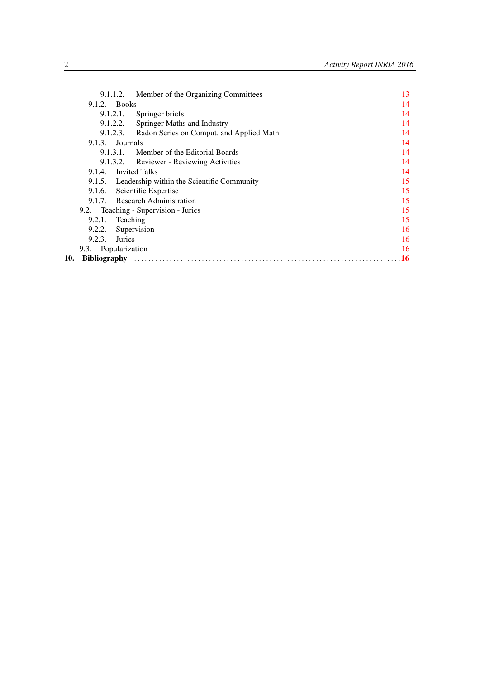|     |                | Member of the Organizing Committees<br>9.1.1.2.    | 13        |
|-----|----------------|----------------------------------------------------|-----------|
|     | $9.1.2.$ Books |                                                    | 14        |
|     |                | 9.1.2.1.<br>Springer briefs                        | 14        |
|     |                | <b>Springer Maths and Industry</b><br>9.1.2.2.     | 14        |
|     |                | 9.1.2.3. Radon Series on Comput. and Applied Math. | 14        |
|     |                | 9.1.3. Journals                                    | 14        |
|     |                | Member of the Editorial Boards<br>9.1.3.1.         | 14        |
|     |                | <b>Reviewer - Reviewing Activities</b><br>9.1.3.2. | 14        |
|     | 9.1.4.         | <b>Invited Talks</b>                               | 14        |
|     |                | 9.1.5. Leadership within the Scientific Community  | 15        |
|     | 9.1.6.         | Scientific Expertise                               | 15        |
|     |                | 9.1.7. Research Administration                     | 15        |
|     |                | 9.2. Teaching - Supervision - Juries               | 15        |
|     | 9.2.1.         | Teaching                                           | 15        |
|     | 9.2.2.         | Supervision                                        | 16        |
|     | 9.2.3.         | <b>Juries</b>                                      | 16        |
|     |                | 9.3. Popularization                                | 16        |
| 10. |                |                                                    | <b>16</b> |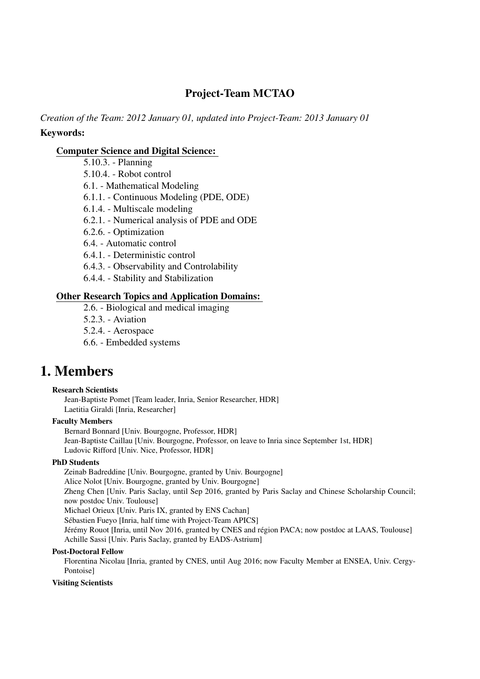# Project-Team MCTAO

*Creation of the Team: 2012 January 01, updated into Project-Team: 2013 January 01* Keywords:

# [Computer Science and Digital Science:](https://raweb.inria.fr/rapportsactivite/RA2016/static/keywords/ComputerScienceandDigitalScience.html)

- 5.10.3. Planning
- 5.10.4. Robot control
- 6.1. Mathematical Modeling
- 6.1.1. Continuous Modeling (PDE, ODE)
- 6.1.4. Multiscale modeling
- 6.2.1. Numerical analysis of PDE and ODE
- 6.2.6. Optimization
- 6.4. Automatic control
- 6.4.1. Deterministic control
- 6.4.3. Observability and Controlability
- 6.4.4. Stability and Stabilization

# [Other Research Topics and Application Domains:](https://raweb.inria.fr/rapportsactivite/RA2016/static/keywords/OtherResearchTopicsandApplicationDomains.html)

- 2.6. Biological and medical imaging
- 5.2.3. Aviation
- 5.2.4. Aerospace
- 6.6. Embedded systems

# <span id="page-4-0"></span>1. Members

#### Research Scientists

Jean-Baptiste Pomet [Team leader, Inria, Senior Researcher, HDR] Laetitia Giraldi [Inria, Researcher]

## Faculty Members

Bernard Bonnard [Univ. Bourgogne, Professor, HDR] Jean-Baptiste Caillau [Univ. Bourgogne, Professor, on leave to Inria since September 1st, HDR] Ludovic Rifford [Univ. Nice, Professor, HDR]

## PhD Students

Zeinab Badreddine [Univ. Bourgogne, granted by Univ. Bourgogne] Alice Nolot [Univ. Bourgogne, granted by Univ. Bourgogne] Zheng Chen [Univ. Paris Saclay, until Sep 2016, granted by Paris Saclay and Chinese Scholarship Council; now postdoc Univ. Toulouse] Michael Orieux [Univ. Paris IX, granted by ENS Cachan] Sébastien Fueyo [Inria, half time with Project-Team APICS] Jérémy Rouot [Inria, until Nov 2016, granted by CNES and région PACA; now postdoc at LAAS, Toulouse] Achille Sassi [Univ. Paris Saclay, granted by EADS-Astrium]

#### Post-Doctoral Fellow

Florentina Nicolau [Inria, granted by CNES, until Aug 2016; now Faculty Member at ENSEA, Univ. Cergy-Pontoise]

#### Visiting Scientists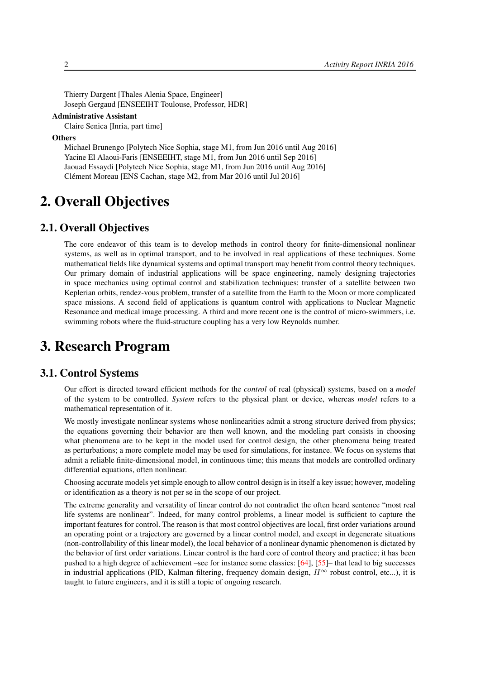Thierry Dargent [Thales Alenia Space, Engineer] Joseph Gergaud [ENSEEIHT Toulouse, Professor, HDR]

#### Administrative Assistant

Claire Senica [Inria, part time]

#### **Others**

Michael Brunengo [Polytech Nice Sophia, stage M1, from Jun 2016 until Aug 2016] Yacine El Alaoui-Faris [ENSEEIHT, stage M1, from Jun 2016 until Sep 2016] Jaouad Essaydi [Polytech Nice Sophia, stage M1, from Jun 2016 until Aug 2016] Clément Moreau [ENS Cachan, stage M2, from Mar 2016 until Jul 2016]

# <span id="page-5-0"></span>2. Overall Objectives

# 2.1. Overall Objectives

The core endeavor of this team is to develop methods in control theory for finite-dimensional nonlinear systems, as well as in optimal transport, and to be involved in real applications of these techniques. Some mathematical fields like dynamical systems and optimal transport may benefit from control theory techniques. Our primary domain of industrial applications will be space engineering, namely designing trajectories in space mechanics using optimal control and stabilization techniques: transfer of a satellite between two Keplerian orbits, rendez-vous problem, transfer of a satellite from the Earth to the Moon or more complicated space missions. A second field of applications is quantum control with applications to Nuclear Magnetic Resonance and medical image processing. A third and more recent one is the control of micro-swimmers, i.e. swimming robots where the fluid-structure coupling has a very low Reynolds number.

# <span id="page-5-1"></span>3. Research Program

# 3.1. Control Systems

<span id="page-5-2"></span>Our effort is directed toward efficient methods for the *control* of real (physical) systems, based on a *model* of the system to be controlled. *System* refers to the physical plant or device, whereas *model* refers to a mathematical representation of it.

We mostly investigate nonlinear systems whose nonlinearities admit a strong structure derived from physics; the equations governing their behavior are then well known, and the modeling part consists in choosing what phenomena are to be kept in the model used for control design, the other phenomena being treated as perturbations; a more complete model may be used for simulations, for instance. We focus on systems that admit a reliable finite-dimensional model, in continuous time; this means that models are controlled ordinary differential equations, often nonlinear.

Choosing accurate models yet simple enough to allow control design is in itself a key issue; however, modeling or identification as a theory is not per se in the scope of our project.

The extreme generality and versatility of linear control do not contradict the often heard sentence "most real life systems are nonlinear". Indeed, for many control problems, a linear model is sufficient to capture the important features for control. The reason is that most control objectives are local, first order variations around an operating point or a trajectory are governed by a linear control model, and except in degenerate situations (non-controllability of this linear model), the local behavior of a nonlinear dynamic phenomenon is dictated by the behavior of first order variations. Linear control is the hard core of control theory and practice; it has been pushed to a high degree of achievement –see for instance some classics: [\[64\]](#page-24-0), [\[55\]](#page-24-1)– that lead to big successes in industrial applications (PID, Kalman filtering, frequency domain design,  $H^{\infty}$  robust control, etc...), it is taught to future engineers, and it is still a topic of ongoing research.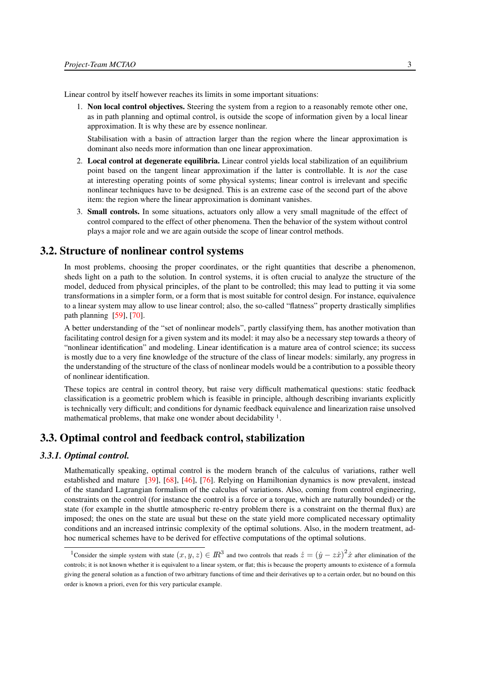<span id="page-6-3"></span>Linear control by itself however reaches its limits in some important situations:

1. Non local control objectives. Steering the system from a region to a reasonably remote other one, as in path planning and optimal control, is outside the scope of information given by a local linear approximation. It is why these are by essence nonlinear.

Stabilisation with a basin of attraction larger than the region where the linear approximation is dominant also needs more information than one linear approximation.

- 2. Local control at degenerate equilibria. Linear control yields local stabilization of an equilibrium point based on the tangent linear approximation if the latter is controllable. It is *not* the case at interesting operating points of some physical systems; linear control is irrelevant and specific nonlinear techniques have to be designed. This is an extreme case of the second part of the above item: the region where the linear approximation is dominant vanishes.
- <span id="page-6-4"></span>3. Small controls. In some situations, actuators only allow a very small magnitude of the effect of control compared to the effect of other phenomena. Then the behavior of the system without control plays a major role and we are again outside the scope of linear control methods.

# 3.2. Structure of nonlinear control systems

<span id="page-6-0"></span>In most problems, choosing the proper coordinates, or the right quantities that describe a phenomenon, sheds light on a path to the solution. In control systems, it is often crucial to analyze the structure of the model, deduced from physical principles, of the plant to be controlled; this may lead to putting it via some transformations in a simpler form, or a form that is most suitable for control design. For instance, equivalence to a linear system may allow to use linear control; also, the so-called "flatness" property drastically simplifies path planning [\[59\]](#page-24-2), [\[70\]](#page-24-3).

A better understanding of the "set of nonlinear models", partly classifying them, has another motivation than facilitating control design for a given system and its model: it may also be a necessary step towards a theory of "nonlinear identification" and modeling. Linear identification is a mature area of control science; its success is mostly due to a very fine knowledge of the structure of the class of linear models: similarly, any progress in the understanding of the structure of the class of nonlinear models would be a contribution to a possible theory of nonlinear identification.

These topics are central in control theory, but raise very difficult mathematical questions: static feedback classification is a geometric problem which is feasible in principle, although describing invariants explicitly is technically very difficult; and conditions for dynamic feedback equivalence and linearization raise unsolved mathematical problems, that make one wonder about decidability <sup>1</sup>.

# <span id="page-6-1"></span>3.3. Optimal control and feedback control, stabilization

## *3.3.1. Optimal control.*

<span id="page-6-2"></span>Mathematically speaking, optimal control is the modern branch of the calculus of variations, rather well established and mature [\[39\]](#page-22-0), [\[68\]](#page-24-4), [\[46\]](#page-23-0), [\[76\]](#page-25-0). Relying on Hamiltonian dynamics is now prevalent, instead of the standard Lagrangian formalism of the calculus of variations. Also, coming from control engineering, constraints on the control (for instance the control is a force or a torque, which are naturally bounded) or the state (for example in the shuttle atmospheric re-entry problem there is a constraint on the thermal flux) are imposed; the ones on the state are usual but these on the state yield more complicated necessary optimality conditions and an increased intrinsic complexity of the optimal solutions. Also, in the modern treatment, adhoc numerical schemes have to be derived for effective computations of the optimal solutions.

<sup>&</sup>lt;sup>1</sup>Consider the simple system with state  $(x, y, z) \in \mathbb{R}^3$  and two controls that reads  $\dot{z} = (\dot{y} - z\dot{x})^2 \dot{x}$  after elimination of the controls; it is not known whether it is equivalent to a linear system, or flat; this is because the property amounts to existence of a formula giving the general solution as a function of two arbitrary functions of time and their derivatives up to a certain order, but no bound on this order is known a priori, even for this very particular example.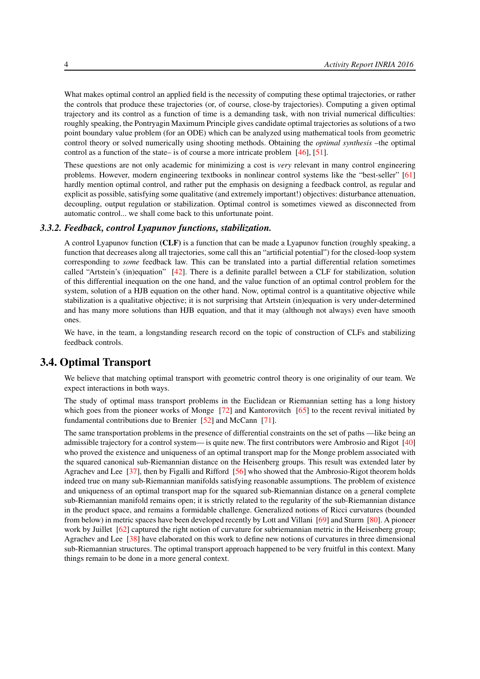What makes optimal control an applied field is the necessity of computing these optimal trajectories, or rather the controls that produce these trajectories (or, of course, close-by trajectories). Computing a given optimal trajectory and its control as a function of time is a demanding task, with non trivial numerical difficulties: roughly speaking, the Pontryagin Maximum Principle gives candidate optimal trajectories as solutions of a two point boundary value problem (for an ODE) which can be analyzed using mathematical tools from geometric control theory or solved numerically using shooting methods. Obtaining the *optimal synthesis* –the optimal control as a function of the state– is of course a more intricate problem [\[46\]](#page-23-0), [\[51\]](#page-23-1).

These questions are not only academic for minimizing a cost is *very* relevant in many control engineering problems. However, modern engineering textbooks in nonlinear control systems like the "best-seller" [\[61\]](#page-24-5) hardly mention optimal control, and rather put the emphasis on designing a feedback control, as regular and explicit as possible, satisfying some qualitative (and extremely important!) objectives: disturbance attenuation, decoupling, output regulation or stabilization. Optimal control is sometimes viewed as disconnected from automatic control... we shall come back to this unfortunate point.

#### *3.3.2. Feedback, control Lyapunov functions, stabilization.*

<span id="page-7-0"></span>A control Lyapunov function (CLF) is a function that can be made a Lyapunov function (roughly speaking, a function that decreases along all trajectories, some call this an "artificial potential") for the closed-loop system corresponding to *some* feedback law. This can be translated into a partial differential relation sometimes called "Artstein's (in)equation" [\[42\]](#page-23-2). There is a definite parallel between a CLF for stabilization, solution of this differential inequation on the one hand, and the value function of an optimal control problem for the system, solution of a HJB equation on the other hand. Now, optimal control is a quantitative objective while stabilization is a qualitative objective; it is not surprising that Artstein (in)equation is very under-determined and has many more solutions than HJB equation, and that it may (although not always) even have smooth ones.

We have, in the team, a longstanding research record on the topic of construction of CLFs and stabilizing feedback controls.

# 3.4. Optimal Transport

<span id="page-7-1"></span>We believe that matching optimal transport with geometric control theory is one originality of our team. We expect interactions in both ways.

The study of optimal mass transport problems in the Euclidean or Riemannian setting has a long history which goes from the pioneer works of Monge [\[72\]](#page-25-1) and Kantorovitch [\[65\]](#page-24-6) to the recent revival initiated by fundamental contributions due to Brenier [\[52\]](#page-23-3) and McCann [\[71\]](#page-25-2).

The same transportation problems in the presence of differential constraints on the set of paths —like being an admissible trajectory for a control system— is quite new. The first contributors were Ambrosio and Rigot [\[40\]](#page-22-1) who proved the existence and uniqueness of an optimal transport map for the Monge problem associated with the squared canonical sub-Riemannian distance on the Heisenberg groups. This result was extended later by Agrachev and Lee [\[37\]](#page-22-2), then by Figalli and Rifford [\[56\]](#page-24-7) who showed that the Ambrosio-Rigot theorem holds indeed true on many sub-Riemannian manifolds satisfying reasonable assumptions. The problem of existence and uniqueness of an optimal transport map for the squared sub-Riemannian distance on a general complete sub-Riemannian manifold remains open; it is strictly related to the regularity of the sub-Riemannian distance in the product space, and remains a formidable challenge. Generalized notions of Ricci curvatures (bounded from below) in metric spaces have been developed recently by Lott and Villani [\[69\]](#page-24-8) and Sturm [\[80\]](#page-25-3). A pioneer work by Juillet [\[62\]](#page-24-9) captured the right notion of curvature for subriemannian metric in the Heisenberg group; Agrachev and Lee [\[38\]](#page-22-3) have elaborated on this work to define new notions of curvatures in three dimensional sub-Riemannian structures. The optimal transport approach happened to be very fruitful in this context. Many things remain to be done in a more general context.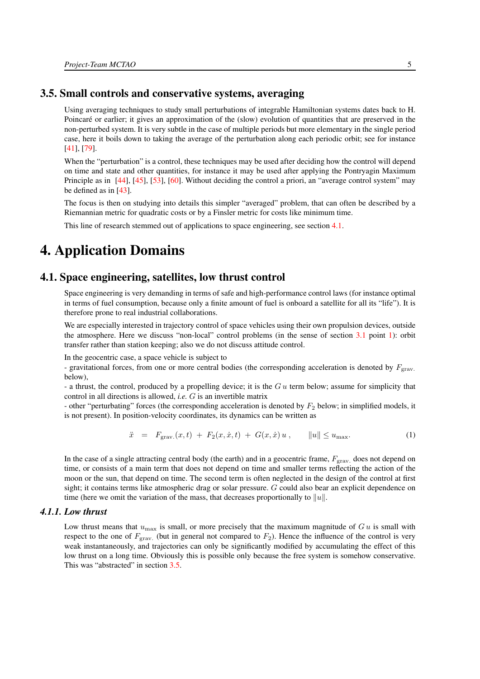# 3.5. Small controls and conservative systems, averaging

<span id="page-8-0"></span>Using averaging techniques to study small perturbations of integrable Hamiltonian systems dates back to H. Poincaré or earlier; it gives an approximation of the (slow) evolution of quantities that are preserved in the non-perturbed system. It is very subtle in the case of multiple periods but more elementary in the single period case, here it boils down to taking the average of the perturbation along each periodic orbit; see for instance [\[41\]](#page-23-4), [\[79\]](#page-25-4).

When the "perturbation" is a control, these techniques may be used after deciding how the control will depend on time and state and other quantities, for instance it may be used after applying the Pontryagin Maximum Principle as in [\[44\]](#page-23-5), [\[45\]](#page-23-6), [\[53\]](#page-23-7), [\[60\]](#page-24-10). Without deciding the control a priori, an "average control system" may be defined as in [\[43\]](#page-23-8).

The focus is then on studying into details this simpler "averaged" problem, that can often be described by a Riemannian metric for quadratic costs or by a Finsler metric for costs like minimum time.

<span id="page-8-1"></span>This line of research stemmed out of applications to space engineering, see section [4.1.](#page-8-2)

# 4. Application Domains

## 4.1. Space engineering, satellites, low thrust control

<span id="page-8-2"></span>Space engineering is very demanding in terms of safe and high-performance control laws (for instance optimal in terms of fuel consumption, because only a finite amount of fuel is onboard a satellite for all its "life"). It is therefore prone to real industrial collaborations.

We are especially interested in trajectory control of space vehicles using their own propulsion devices, outside the atmosphere. Here we discuss "non-local" control problems (in the sense of section [3.1](#page-5-2) point [1\)](#page-6-3): orbit transfer rather than station keeping; also we do not discuss attitude control.

In the geocentric case, a space vehicle is subject to

- gravitational forces, from one or more central bodies (the corresponding acceleration is denoted by  $F_{\text{grav}}$ . below),

- a thrust, the control, produced by a propelling device; it is the  $Gu$  term below; assume for simplicity that control in all directions is allowed, *i.e.* G is an invertible matrix

<span id="page-8-4"></span>- other "perturbating" forces (the corresponding acceleration is denoted by  $F_2$  below; in simplified models, it is not present). In position-velocity coordinates, its dynamics can be written as

$$
\ddot{x} = F_{\text{grav.}}(x, t) + F_2(x, \dot{x}, t) + G(x, \dot{x}) u, \qquad \|u\| \le u_{\text{max}}.
$$
 (1)

In the case of a single attracting central body (the earth) and in a geocentric frame,  $F_{\text{grav}}$  does not depend on time, or consists of a main term that does not depend on time and smaller terms reflecting the action of the moon or the sun, that depend on time. The second term is often neglected in the design of the control at first sight; it contains terms like atmospheric drag or solar pressure. G could also bear an explicit dependence on time (here we omit the variation of the mass, that decreases proportionally to  $||u||$ .

## *4.1.1. Low thrust*

<span id="page-8-3"></span>Low thrust means that  $u_{\text{max}}$  is small, or more precisely that the maximum magnitude of G u is small with respect to the one of  $F_{\text{grav.}}$  (but in general not compared to  $F_2$ ). Hence the influence of the control is very weak instantaneously, and trajectories can only be significantly modified by accumulating the effect of this low thrust on a long time. Obviously this is possible only because the free system is somehow conservative. This was "abstracted" in section [3.5.](#page-8-0)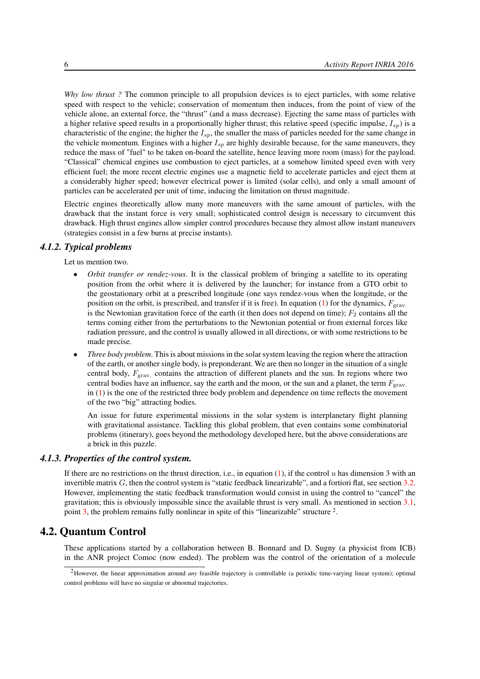*Why low thrust ?* The common principle to all propulsion devices is to eject particles, with some relative speed with respect to the vehicle; conservation of momentum then induces, from the point of view of the vehicle alone, an external force, the "thrust" (and a mass decrease). Ejecting the same mass of particles with a higher relative speed results in a proportionally higher thrust; this relative speed (specific impulse,  $I_{sp}$ ) is a characteristic of the engine; the higher the  $I_{sp}$ , the smaller the mass of particles needed for the same change in the vehicle momentum. Engines with a higher  $I_{sp}$  are highly desirable because, for the same maneuvers, they reduce the mass of "fuel" to be taken on-board the satellite, hence leaving more room (mass) for the payload. "Classical" chemical engines use combustion to eject particles, at a somehow limited speed even with very efficient fuel; the more recent electric engines use a magnetic field to accelerate particles and eject them at a considerably higher speed; however electrical power is limited (solar cells), and only a small amount of particles can be accelerated per unit of time, inducing the limitation on thrust magnitude.

Electric engines theoretically allow many more maneuvers with the same amount of particles, with the drawback that the instant force is very small; sophisticated control design is necessary to circumvent this drawback. High thrust engines allow simpler control procedures because they almost allow instant maneuvers (strategies consist in a few burns at precise instants).

#### *4.1.2. Typical problems*

<span id="page-9-0"></span>Let us mention two.

- *Orbit transfer or rendez-vous*. It is the classical problem of bringing a satellite to its operating position from the orbit where it is delivered by the launcher; for instance from a GTO orbit to the geostationary orbit at a prescribed longitude (one says rendez-vous when the longitude, or the position on the orbit, is prescribed, and transfer if it is free). In equation [\(1\)](#page-8-4) for the dynamics,  $F_{\text{grav}}$ . is the Newtonian gravitation force of the earth (it then does not depend on time);  $F_2$  contains all the terms coming either from the perturbations to the Newtonian potential or from external forces like radiation pressure, and the control is usually allowed in all directions, or with some restrictions to be made precise.
- *Three body problem*. This is about missions in the solar system leaving the region where the attraction of the earth, or another single body, is preponderant. We are then no longer in the situation of a single central body,  $F_{\text{grav}}$  contains the attraction of different planets and the sun. In regions where two central bodies have an influence, say the earth and the moon, or the sun and a planet, the term  $F_{\text{grav}}$ . in  $(1)$  is the one of the restricted three body problem and dependence on time reflects the movement of the two "big" attracting bodies.

An issue for future experimental missions in the solar system is interplanetary flight planning with gravitational assistance. Tackling this global problem, that even contains some combinatorial problems (itinerary), goes beyond the methodology developed here, but the above considerations are a brick in this puzzle.

## *4.1.3. Properties of the control system.*

<span id="page-9-1"></span>If there are no restrictions on the thrust direction, i.e., in equation [\(1\)](#page-8-4), if the control u has dimension 3 with an invertible matrix  $G$ , then the control system is "static feedback linearizable", and a fortiori flat, see section [3.2.](#page-6-0) However, implementing the static feedback transformation would consist in using the control to "cancel" the gravitation; this is obviously impossible since the available thrust is very small. As mentioned in section [3.1,](#page-5-2) point [3,](#page-6-4) the problem remains fully nonlinear in spite of this "linearizable" structure <sup>2</sup>.

# 4.2. Quantum Control

<span id="page-9-2"></span>These applications started by a collaboration between B. Bonnard and D. Sugny (a physicist from ICB) in the ANR project Comoc (now ended). The problem was the control of the orientation of a molecule

<sup>2</sup>However, the linear approximation around *any* feasible trajectory is controllable (a periodic time-varying linear system); optimal control problems will have no singular or abnormal trajectories.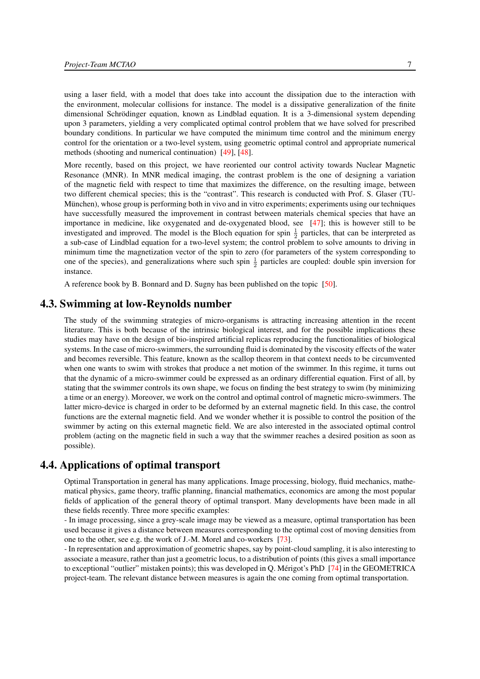using a laser field, with a model that does take into account the dissipation due to the interaction with the environment, molecular collisions for instance. The model is a dissipative generalization of the finite dimensional Schrödinger equation, known as Lindblad equation. It is a 3-dimensional system depending upon 3 parameters, yielding a very complicated optimal control problem that we have solved for prescribed boundary conditions. In particular we have computed the minimum time control and the minimum energy control for the orientation or a two-level system, using geometric optimal control and appropriate numerical methods (shooting and numerical continuation) [\[49\]](#page-23-9), [\[48\]](#page-23-10).

More recently, based on this project, we have reoriented our control activity towards Nuclear Magnetic Resonance (MNR). In MNR medical imaging, the contrast problem is the one of designing a variation of the magnetic field with respect to time that maximizes the difference, on the resulting image, between two different chemical species; this is the "contrast". This research is conducted with Prof. S. Glaser (TU-München), whose group is performing both in vivo and in vitro experiments; experiments using our techniques have successfully measured the improvement in contrast between materials chemical species that have an importance in medicine, like oxygenated and de-oxygenated blood, see [\[47\]](#page-23-11); this is however still to be investigated and improved. The model is the Bloch equation for spin  $\frac{1}{2}$  particles, that can be interpreted as a sub-case of Lindblad equation for a two-level system; the control problem to solve amounts to driving in minimum time the magnetization vector of the spin to zero (for parameters of the system corresponding to one of the species), and generalizations where such spin  $\frac{1}{2}$  particles are coupled: double spin inversion for instance.

<span id="page-10-0"></span>A reference book by B. Bonnard and D. Sugny has been published on the topic [\[50\]](#page-23-12).

# 4.3. Swimming at low-Reynolds number

The study of the swimming strategies of micro-organisms is attracting increasing attention in the recent literature. This is both because of the intrinsic biological interest, and for the possible implications these studies may have on the design of bio-inspired artificial replicas reproducing the functionalities of biological systems. In the case of micro-swimmers, the surrounding fluid is dominated by the viscosity effects of the water and becomes reversible. This feature, known as the scallop theorem in that context needs to be circumvented when one wants to swim with strokes that produce a net motion of the swimmer. In this regime, it turns out that the dynamic of a micro-swimmer could be expressed as an ordinary differential equation. First of all, by stating that the swimmer controls its own shape, we focus on finding the best strategy to swim (by minimizing a time or an energy). Moreover, we work on the control and optimal control of magnetic micro-swimmers. The latter micro-device is charged in order to be deformed by an external magnetic field. In this case, the control functions are the external magnetic field. And we wonder whether it is possible to control the position of the swimmer by acting on this external magnetic field. We are also interested in the associated optimal control problem (acting on the magnetic field in such a way that the swimmer reaches a desired position as soon as possible).

# 4.4. Applications of optimal transport

<span id="page-10-1"></span>Optimal Transportation in general has many applications. Image processing, biology, fluid mechanics, mathematical physics, game theory, traffic planning, financial mathematics, economics are among the most popular fields of application of the general theory of optimal transport. Many developments have been made in all these fields recently. Three more specific examples:

- In image processing, since a grey-scale image may be viewed as a measure, optimal transportation has been used because it gives a distance between measures corresponding to the optimal cost of moving densities from one to the other, see e.g. the work of J.-M. Morel and co-workers [\[73\]](#page-25-5).

- In representation and approximation of geometric shapes, say by point-cloud sampling, it is also interesting to associate a measure, rather than just a geometric locus, to a distribution of points (this gives a small importance to exceptional "outlier" mistaken points); this was developed in Q. Mérigot's PhD [\[74\]](#page-25-6) in the GEOMETRICA project-team. The relevant distance between measures is again the one coming from optimal transportation.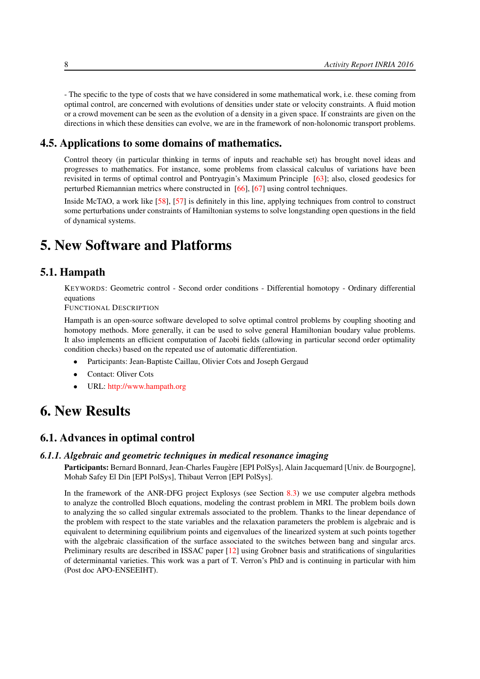- The specific to the type of costs that we have considered in some mathematical work, i.e. these coming from optimal control, are concerned with evolutions of densities under state or velocity constraints. A fluid motion or a crowd movement can be seen as the evolution of a density in a given space. If constraints are given on the directions in which these densities can evolve, we are in the framework of non-holonomic transport problems.

# 4.5. Applications to some domains of mathematics.

<span id="page-11-0"></span>Control theory (in particular thinking in terms of inputs and reachable set) has brought novel ideas and progresses to mathematics. For instance, some problems from classical calculus of variations have been revisited in terms of optimal control and Pontryagin's Maximum Principle [\[63\]](#page-24-11); also, closed geodesics for perturbed Riemannian metrics where constructed in [\[66\]](#page-24-12), [\[67\]](#page-24-13) using control techniques.

Inside McTAO, a work like [\[58\]](#page-24-14), [\[57\]](#page-24-15) is definitely in this line, applying techniques from control to construct some perturbations under constraints of Hamiltonian systems to solve longstanding open questions in the field of dynamical systems.

# <span id="page-11-1"></span>5. New Software and Platforms

# 5.1. Hampath

KEYWORDS: Geometric control - Second order conditions - Differential homotopy - Ordinary differential equations

FUNCTIONAL DESCRIPTION

Hampath is an open-source software developed to solve optimal control problems by coupling shooting and homotopy methods. More generally, it can be used to solve general Hamiltonian boudary value problems. It also implements an efficient computation of Jacobi fields (allowing in particular second order optimality condition checks) based on the repeated use of automatic differentiation.

- Participants: Jean-Baptiste Caillau, Olivier Cots and Joseph Gergaud
- Contact: Oliver Cots
- <span id="page-11-2"></span>• URL: <http://www.hampath.org>

# 6. New Results

# <span id="page-11-3"></span>6.1. Advances in optimal control

#### *6.1.1. Algebraic and geometric techniques in medical resonance imaging*

<span id="page-11-4"></span>Participants: Bernard Bonnard, Jean-Charles Faugère [EPI PolSys], Alain Jacquemard [Univ. de Bourgogne], Mohab Safey El Din [EPI PolSys], Thibaut Verron [EPI PolSys].

In the framework of the ANR-DFG project Explosys (see Section [8.3\)](#page-16-0) we use computer algebra methods to analyze the controlled Bloch equations, modeling the contrast problem in MRI. The problem boils down to analyzing the so called singular extremals associated to the problem. Thanks to the linear dependance of the problem with respect to the state variables and the relaxation parameters the problem is algebraic and is equivalent to determining equilibrium points and eigenvalues of the linearized system at such points together with the algebraic classification of the surface associated to the switches between bang and singular arcs. Preliminary results are described in ISSAC paper [\[12\]](#page-20-0) using Grobner basis and stratifications of singularities of determinantal varieties. This work was a part of T. Verron's PhD and is continuing in particular with him (Post doc APO-ENSEEIHT).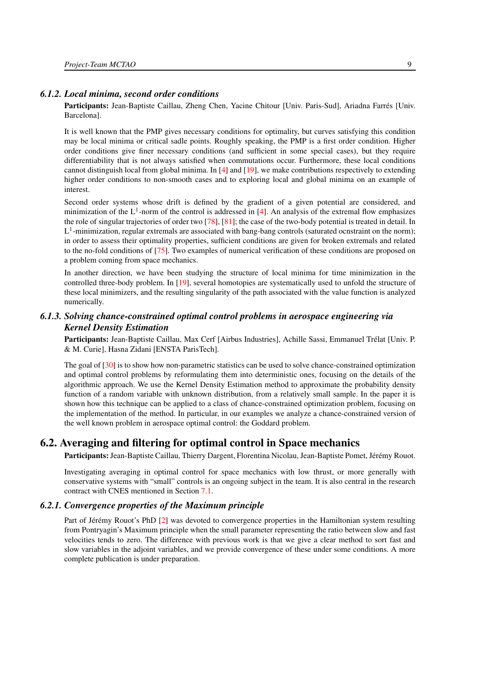#### *6.1.2. Local minima, second order conditions*

<span id="page-12-0"></span>Participants: Jean-Baptiste Caillau, Zheng Chen, Yacine Chitour [Univ. Paris-Sud], Ariadna Farrés [Univ. Barcelona].

It is well known that the PMP gives necessary conditions for optimality, but curves satisfying this condition may be local minima or critical sadle points. Roughly speaking, the PMP is a first order condition. Higher order conditions give finer necessary conditions (and sufficient in some special cases), but they require differentiability that is not always satisfied when commutations occur. Furthermore, these local conditions cannot distinguish local from global minima. In [\[4\]](#page-19-4) and [\[19\]](#page-21-0), we make contributions respectively to extending higher order conditions to non-smooth cases and to exploring local and global minima on an example of interest.

Second order systems whose drift is defined by the gradient of a given potential are considered, and minimization of the  $L^1$ -norm of the control is addressed in [\[4\]](#page-19-4). An analysis of the extremal flow emphasizes the role of singular trajectories of order two [\[78\]](#page-25-7), [\[81\]](#page-25-8); the case of the two-body potential is treated in detail. In  $L^1$ -minimization, regular extremals are associated with bang-bang controls (saturated ocnstraint on the norm); in order to assess their optimality properties, sufficient conditions are given for broken extremals and related to the no-fold conditions of [\[75\]](#page-25-9). Two examples of numerical verification of these conditions are proposed on a problem coming from space mechanics.

In another direction, we have been studying the structure of local minima for time minimization in the controlled three-body problem. In [\[19\]](#page-21-0), several homotopies are systematically used to unfold the structure of these local minimizers, and the resulting singularity of the path associated with the value function is analyzed numerically.

# <span id="page-12-1"></span>*6.1.3. Solving chance-constrained optimal control problems in aerospace engineering via Kernel Density Estimation*

Participants: Jean-Baptiste Caillau, Max Cerf [Airbus Industries], Achille Sassi, Emmanuel Trélat [Univ. P. & M. Curie], Hasna Zidani [ENSTA ParisTech].

The goal of [\[30\]](#page-22-4) is to show how non-parametric statistics can be used to solve chance-constrained optimization and optimal control problems by reformulating them into deterministic ones, focusing on the details of the algorithmic approach. We use the Kernel Density Estimation method to approximate the probability density function of a random variable with unknown distribution, from a relatively small sample. In the paper it is shown how this technique can be applied to a class of chance-constrained optimization problem, focusing on the implementation of the method. In particular, in our examples we analyze a chance-constrained version of the well known problem in aerospace optimal control: the Goddard problem.

# 6.2. Averaging and filtering for optimal control in Space mechanics

<span id="page-12-2"></span>Participants: Jean-Baptiste Caillau, Thierry Dargent, Florentina Nicolau, Jean-Baptiste Pomet, Jérémy Rouot.

Investigating averaging in optimal control for space mechanics with low thrust, or more generally with conservative systems with "small" controls is an ongoing subject in the team. It is also central in the research contract with CNES mentioned in Section [7.1.](#page-15-6)

#### *6.2.1. Convergence properties of the Maximum principle*

<span id="page-12-3"></span>Part of Jérémy Rouot's PhD [\[2\]](#page-19-5) was devoted to convergence properties in the Hamiltonian system resulting from Pontryagin's Maximum principle when the small parameter representing the ratio between slow and fast velocities tends to zero. The difference with previous work is that we give a clear method to sort fast and slow variables in the adjoint variables, and we provide convergence of these under some conditions. A more complete publication is under preparation.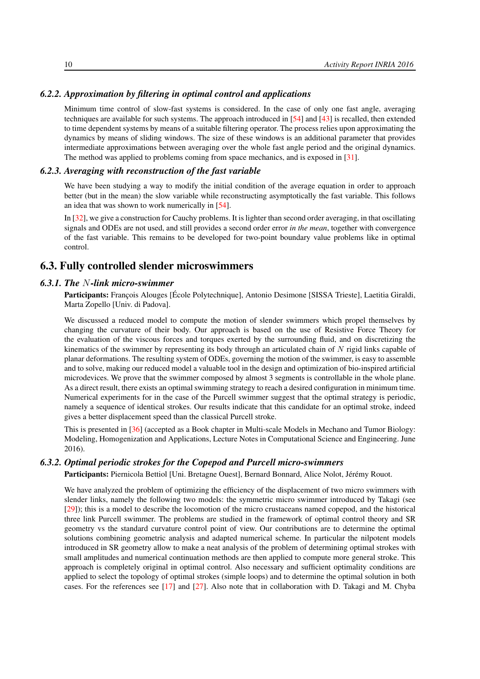## *6.2.2. Approximation by filtering in optimal control and applications*

<span id="page-13-0"></span>Minimum time control of slow-fast systems is considered. In the case of only one fast angle, averaging techniques are available for such systems. The approach introduced in [\[54\]](#page-23-13) and [\[43\]](#page-23-8) is recalled, then extended to time dependent systems by means of a suitable filtering operator. The process relies upon approximating the dynamics by means of sliding windows. The size of these windows is an additional parameter that provides intermediate approximations between averaging over the whole fast angle period and the original dynamics. The method was applied to problems coming from space mechanics, and is exposed in [\[31\]](#page-22-5).

#### *6.2.3. Averaging with reconstruction of the fast variable*

<span id="page-13-1"></span>We have been studying a way to modify the initial condition of the average equation in order to approach better (but in the mean) the slow variable while reconstructing asymptotically the fast variable. This follows an idea that was shown to work numerically in [\[54\]](#page-23-13).

In [\[32\]](#page-22-6), we give a construction for Cauchy problems. It is lighter than second order averaging, in that oscillating signals and ODEs are not used, and still provides a second order error *in the mean*, together with convergence of the fast variable. This remains to be developed for two-point boundary value problems like in optimal control.

# <span id="page-13-2"></span>6.3. Fully controlled slender microswimmers

#### *6.3.1. The* N*-link micro-swimmer*

<span id="page-13-3"></span>Participants: François Alouges [École Polytechnique], Antonio Desimone [SISSA Trieste], Laetitia Giraldi, Marta Zopello [Univ. di Padova].

We discussed a reduced model to compute the motion of slender swimmers which propel themselves by changing the curvature of their body. Our approach is based on the use of Resistive Force Theory for the evaluation of the viscous forces and torques exerted by the surrounding fluid, and on discretizing the kinematics of the swimmer by representing its body through an articulated chain of N rigid links capable of planar deformations. The resulting system of ODEs, governing the motion of the swimmer, is easy to assemble and to solve, making our reduced model a valuable tool in the design and optimization of bio-inspired artificial microdevices. We prove that the swimmer composed by almost 3 segments is controllable in the whole plane. As a direct result, there exists an optimal swimming strategy to reach a desired configuration in minimum time. Numerical experiments for in the case of the Purcell swimmer suggest that the optimal strategy is periodic, namely a sequence of identical strokes. Our results indicate that this candidate for an optimal stroke, indeed gives a better displacement speed than the classical Purcell stroke.

This is presented in [\[36\]](#page-22-7) (accepted as a Book chapter in Multi-scale Models in Mechano and Tumor Biology: Modeling, Homogenization and Applications, Lecture Notes in Computational Science and Engineering. June 2016).

## *6.3.2. Optimal periodic strokes for the Copepod and Purcell micro-swimmers*

<span id="page-13-4"></span>Participants: Piernicola Bettiol [Uni. Bretagne Ouest], Bernard Bonnard, Alice Nolot, Jérémy Rouot.

We have analyzed the problem of optimizing the efficiency of the displacement of two micro swimmers with slender links, namely the following two models: the symmetric micro swimmer introduced by Takagi (see [\[29\]](#page-22-8)); this is a model to describe the locomotion of the micro crustaceans named copepod, and the historical three link Purcell swimmer. The problems are studied in the framework of optimal control theory and SR geometry vs the standard curvature control point of view. Our contributions are to determine the optimal solutions combining geometric analysis and adapted numerical scheme. In particular the nilpotent models introduced in SR geometry allow to make a neat analysis of the problem of determining optimal strokes with small amplitudes and numerical continuation methods are then applied to compute more general stroke. This approach is completely original in optimal control. Also necessary and sufficient optimality conditions are applied to select the topology of optimal strokes (simple loops) and to determine the optimal solution in both cases. For the references see [\[17\]](#page-21-1) and [\[27\]](#page-21-2). Also note that in collaboration with D. Takagi and M. Chyba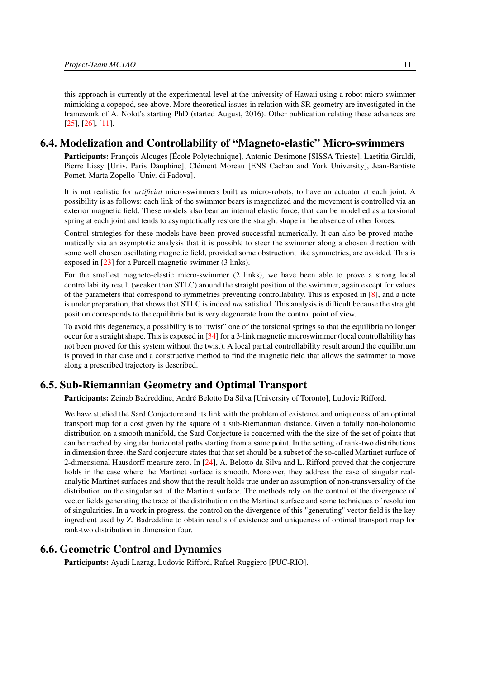this approach is currently at the experimental level at the university of Hawaii using a robot micro swimmer mimicking a copepod, see above. More theoretical issues in relation with SR geometry are investigated in the framework of A. Nolot's starting PhD (started August, 2016). Other publication relating these advances are [\[25\]](#page-21-3), [\[26\]](#page-21-4), [\[11\]](#page-20-1).

## 6.4. Modelization and Controllability of "Magneto-elastic" Micro-swimmers

<span id="page-14-0"></span>Participants: François Alouges [École Polytechnique], Antonio Desimone [SISSA Trieste], Laetitia Giraldi, Pierre Lissy [Univ. Paris Dauphine], Clément Moreau [ENS Cachan and York University], Jean-Baptiste Pomet, Marta Zopello [Univ. di Padova].

It is not realistic for *artificial* micro-swimmers built as micro-robots, to have an actuator at each joint. A possibility is as follows: each link of the swimmer bears is magnetized and the movement is controlled via an exterior magnetic field. These models also bear an internal elastic force, that can be modelled as a torsional spring at each joint and tends to asymptotically restore the straight shape in the absence of other forces.

Control strategies for these models have been proved successful numerically. It can also be proved mathematically via an asymptotic analysis that it is possible to steer the swimmer along a chosen direction with some well chosen oscillating magnetic field, provided some obstruction, like symmetries, are avoided. This is exposed in [\[23\]](#page-21-5) for a Purcell magnetic swimmer (3 links).

For the smallest magneto-elastic micro-swimmer (2 links), we have been able to prove a strong local controllability result (weaker than STLC) around the straight position of the swimmer, again except for values of the parameters that correspond to symmetries preventing controllability. This is exposed in [\[8\]](#page-20-2), and a note is under preparation, that shows that STLC is indeed *not* satisfied. This analysis is difficult because the straight position corresponds to the equilibria but is very degenerate from the control point of view.

To avoid this degeneracy, a possibility is to "twist" one of the torsional springs so that the equilibria no longer occur for a straight shape. This is exposed in [\[34\]](#page-22-9) for a 3-link magnetic microswimmer (local controllability has not been proved for this system without the twist). A local partial controllability result around the equilibrium is proved in that case and a constructive method to find the magnetic field that allows the swimmer to move along a prescribed trajectory is described.

# 6.5. Sub-Riemannian Geometry and Optimal Transport

<span id="page-14-1"></span>Participants: Zeinab Badreddine, André Belotto Da Silva [University of Toronto], Ludovic Rifford.

We have studied the Sard Conjecture and its link with the problem of existence and uniqueness of an optimal transport map for a cost given by the square of a sub-Riemannian distance. Given a totally non-holonomic distribution on a smooth manifold, the Sard Conjecture is concerned with the the size of the set of points that can be reached by singular horizontal paths starting from a same point. In the setting of rank-two distributions in dimension three, the Sard conjecture states that that set should be a subset of the so-called Martinet surface of 2-dimensional Hausdorff measure zero. In [\[24\]](#page-21-6), A. Belotto da Silva and L. Rifford proved that the conjecture holds in the case where the Martinet surface is smooth. Moreover, they address the case of singular realanalytic Martinet surfaces and show that the result holds true under an assumption of non-transversality of the distribution on the singular set of the Martinet surface. The methods rely on the control of the divergence of vector fields generating the trace of the distribution on the Martinet surface and some techniques of resolution of singularities. In a work in progress, the control on the divergence of this "generating" vector field is the key ingredient used by Z. Badreddine to obtain results of existence and uniqueness of optimal transport map for rank-two distribution in dimension four.

# 6.6. Geometric Control and Dynamics

<span id="page-14-2"></span>Participants: Ayadi Lazrag, Ludovic Rifford, Rafael Ruggiero [PUC-RIO].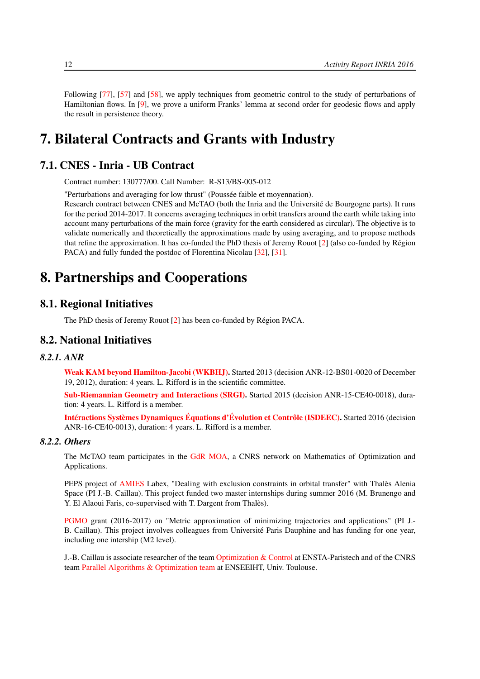Following [\[77\]](#page-25-10), [\[57\]](#page-24-15) and [\[58\]](#page-24-14), we apply techniques from geometric control to the study of perturbations of Hamiltonian flows. In [\[9\]](#page-20-3), we prove a uniform Franks' lemma at second order for geodesic flows and apply the result in persistence theory.

# <span id="page-15-0"></span>7. Bilateral Contracts and Grants with Industry

# 7.1. CNES - Inria - UB Contract

<span id="page-15-6"></span>Contract number: 130777/00. Call Number: R-S13/BS-005-012

"Perturbations and averaging for low thrust" (Poussée faible et moyennation).

Research contract between CNES and McTAO (both the Inria and the Université de Bourgogne parts). It runs for the period 2014-2017. It concerns averaging techniques in orbit transfers around the earth while taking into account many perturbations of the main force (gravity for the earth considered as circular). The objective is to validate numerically and theoretically the approximations made by using averaging, and to propose methods that refine the approximation. It has co-funded the PhD thesis of Jeremy Rouot [\[2\]](#page-19-5) (also co-funded by Région PACA) and fully funded the postdoc of Florentina Nicolau [\[32\]](#page-22-6), [\[31\]](#page-22-5).

# <span id="page-15-1"></span>8. Partnerships and Cooperations

# 8.1. Regional Initiatives

<span id="page-15-3"></span><span id="page-15-2"></span>The PhD thesis of Jeremy Rouot [\[2\]](#page-19-5) has been co-funded by Région PACA.

# 8.2. National Initiatives

#### *8.2.1. ANR*

<span id="page-15-4"></span>[Weak KAM beyond Hamilton-Jacobi \(WKBHJ\).](http://perso.ens-lyon.fr/marco.mazzucchelli/KAM-Faible/) Started 2013 (decision ANR-12-BS01-0020 of December 19, 2012), duration: 4 years. L. Rifford is in the scientific committee.

[Sub-Riemannian Geometry and Interactions \(SRGI\).](https://www.ljll.math.upmc.fr/trelat/SRGI.html) Started 2015 (decision ANR-15-CE40-0018), duration: 4 years. L. Rifford is a member.

[Intéractions Systèmes Dynamiques Équations d'Évolution et Contrôle \(ISDEEC\).](http://www.agence-nationale-recherche.fr/?Projet=ANR-16-CE40-0013) Started 2016 (decision ANR-16-CE40-0013), duration: 4 years. L. Rifford is a member.

## *8.2.2. Others*

<span id="page-15-5"></span>The McTAO team participates in the [GdR MOA,](http://gdrmoa.math.cnrs.fr) a CNRS network on Mathematics of Optimization and Applications.

PEPS project of [AMIES](http://www.agence-maths-entreprises.fr) Labex, "Dealing with exclusion constraints in orbital transfer" with Thalès Alenia Space (PI J.-B. Caillau). This project funded two master internships during summer 2016 (M. Brunengo and Y. El Alaoui Faris, co-supervised with T. Dargent from Thalès).

[PGMO](https://www.fondation-hadamard.fr/fr/pgmo/presentation-pgmo) grant (2016-2017) on "Metric approximation of minimizing trajectories and applications" (PI J.- B. Caillau). This project involves colleagues from Université Paris Dauphine and has funding for one year, including one intership (M2 level).

J.-B. Caillau is associate researcher of the team [Optimization & Control](http://uma.ensta-paristech.fr/oc) at ENSTA-Paristech and of the CNRS team [Parallel Algorithms & Optimization team](http://apo.enseeiht.fr) at ENSEEIHT, Univ. Toulouse.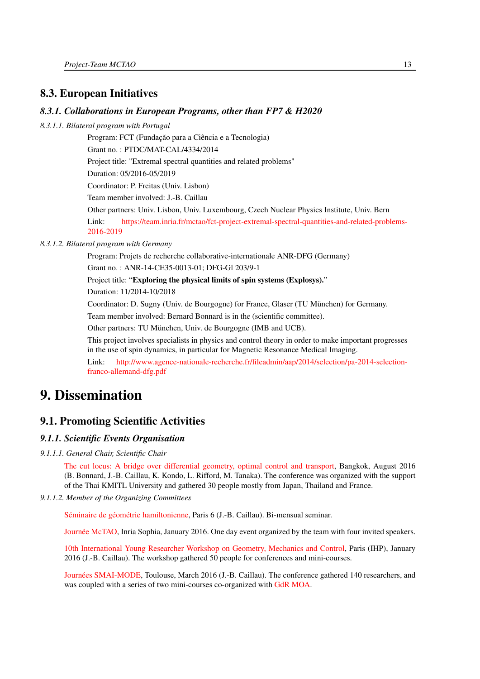# <span id="page-16-0"></span>8.3. European Initiatives

## *8.3.1. Collaborations in European Programs, other than FP7 & H2020*

<span id="page-16-1"></span>*8.3.1.1. Bilateral program with Portugal*

Program: FCT (Fundação para a Ciência e a Tecnologia) Grant no. : PTDC/MAT-CAL/4334/2014 Project title: "Extremal spectral quantities and related problems" Duration: 05/2016-05/2019 Coordinator: P. Freitas (Univ. Lisbon) Team member involved: J.-B. Caillau Other partners: Univ. Lisbon, Univ. Luxembourg, Czech Nuclear Physics Institute, Univ. Bern Link: [https://team.inria.fr/mctao/fct-project-extremal-spectral-quantities-and-related-problems-](https://team.inria.fr/mctao/fct-project-extremal-spectral-quantities-and-related-problems-2016-2019)[2016-2019](https://team.inria.fr/mctao/fct-project-extremal-spectral-quantities-and-related-problems-2016-2019)

#### <span id="page-16-2"></span>*8.3.1.2. Bilateral program with Germany*

Program: Projets de recherche collaborative-internationale ANR-DFG (Germany)

Grant no. : ANR-14-CE35-0013-01; DFG-Gl 203/9-1

Project title: "Exploring the physical limits of spin systems (Explosys)."

Duration: 11/2014-10/2018

Coordinator: D. Sugny (Univ. de Bourgogne) for France, Glaser (TU München) for Germany.

Team member involved: Bernard Bonnard is in the (scientific committee).

Other partners: TU München, Univ. de Bourgogne (IMB and UCB).

This project involves specialists in physics and control theory in order to make important progresses in the use of spin dynamics, in particular for Magnetic Resonance Medical Imaging.

Link: [http://www.agence-nationale-recherche.fr/fileadmin/aap/2014/selection/pa-2014-selection](http://www.agence-nationale-recherche.fr/fileadmin/aap/2014/selection/pa-2014-selection-franco-allemand-dfg.pdf)[franco-allemand-dfg.pdf](http://www.agence-nationale-recherche.fr/fileadmin/aap/2014/selection/pa-2014-selection-franco-allemand-dfg.pdf)

# <span id="page-16-3"></span>9. Dissemination

# <span id="page-16-4"></span>9.1. Promoting Scientific Activities

## <span id="page-16-5"></span>*9.1.1. Scientific Events Organisation*

*9.1.1.1. General Chair, Scientific Chair*

<span id="page-16-6"></span>[The cut locus: A bridge over differential geometry, optimal control and transport,](http://team.inria.fr/mctao/cut-locus2016-bangkok) Bangkok, August 2016 (B. Bonnard, J.-B. Caillau, K. Kondo, L. Rifford, M. Tanaka). The conference was organized with the support of the Thai KMITL University and gathered 30 people mostly from Japan, Thailand and France.

#### *9.1.1.2. Member of the Organizing Committees*

<span id="page-16-7"></span>[Séminaire de géométrie hamiltonienne,](https://www.imj-prg.fr/spip.php?article72) Paris 6 (J.-B. Caillau). Bi-mensual seminar.

[Journée McTAO,](https://team.inria.fr/mctao/journee-equipe-mctao-inria-sophia-18012016) Inria Sophia, January 2016. One day event organized by the team with four invited speakers.

[10th International Young Researcher Workshop on Geometry, Mechanics and Control,](http://gmcnet.webs.ull.es/?q=node/1396) Paris (IHP), January 2016 (J.-B. Caillau). The workshop gathered 50 people for conferences and mini-courses.

[Journées SMAI-MODE,](https://mode2016.sciencesconf.org) Toulouse, March 2016 (J.-B. Caillau). The conference gathered 140 researchers, and was coupled with a series of two mini-courses co-organized with [GdR MOA.](http://gdrmoa.math.cnrs.fr)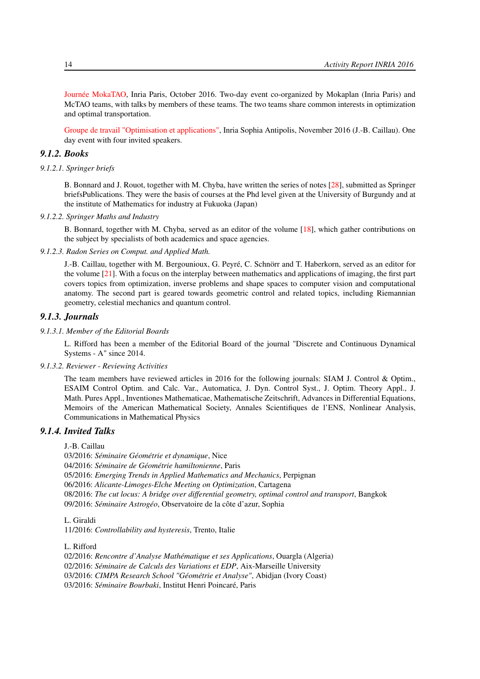[Journée MokaTAO,](https://team.inria.fr/mctao/journees-mokatoa-equipes-mokaplan-et-mctao-3-et-4-octobre-2016-paris) Inria Paris, October 2016. Two-day event co-organized by Mokaplan (Inria Paris) and McTAO teams, with talks by members of these teams. The two teams share common interests in optimization and optimal transportation.

<span id="page-17-0"></span>[Groupe de travail "Optimisation et applications",](https://team.inria.fr/mctao/groupe-de-travail-optimisation-et-applications-18-novembre-2016-sophia) Inria Sophia Antipolis, November 2016 (J.-B. Caillau). One day event with four invited speakers.

## *9.1.2. Books*

*9.1.2.1. Springer briefs*

<span id="page-17-1"></span>B. Bonnard and J. Rouot, together with M. Chyba, have written the series of notes [\[28\]](#page-22-10), submitted as Springer briefsPublications. They were the basis of courses at the Phd level given at the University of Burgundy and at the institute of Mathematics for industry at Fukuoka (Japan)

#### *9.1.2.2. Springer Maths and Industry*

<span id="page-17-2"></span>B. Bonnard, together with M. Chyba, served as an editor of the volume [\[18\]](#page-21-7), which gather contributions on the subject by specialists of both academics and space agencies.

#### *9.1.2.3. Radon Series on Comput. and Applied Math.*

<span id="page-17-3"></span>J.-B. Caillau, together with M. Bergounioux, G. Peyré, C. Schnörr and T. Haberkorn, served as an editor for the volume [\[21\]](#page-21-8). With a focus on the interplay between mathematics and applications of imaging, the first part covers topics from optimization, inverse problems and shape spaces to computer vision and computational anatomy. The second part is geared towards geometric control and related topics, including Riemannian geometry, celestial mechanics and quantum control.

# <span id="page-17-4"></span>*9.1.3. Journals*

#### *9.1.3.1. Member of the Editorial Boards*

<span id="page-17-5"></span>L. Rifford has been a member of the Editorial Board of the journal "Discrete and Continuous Dynamical Systems - A" since 2014.

#### *9.1.3.2. Reviewer - Reviewing Activities*

<span id="page-17-6"></span>The team members have reviewed articles in 2016 for the following journals: SIAM J. Control & Optim., ESAIM Control Optim. and Calc. Var., Automatica, J. Dyn. Control Syst., J. Optim. Theory Appl., J. Math. Pures Appl., Inventiones Mathematicae, Mathematische Zeitschrift, Advances in Differential Equations, Memoirs of the American Mathematical Society, Annales Scientifiques de l'ENS, Nonlinear Analysis, Communications in Mathematical Physics

## *9.1.4. Invited Talks*

<span id="page-17-7"></span>J.-B. Caillau

03/2016: *Séminaire Géométrie et dynamique*, Nice

04/2016: *Séminaire de Géométrie hamiltonienne*, Paris

05/2016: *Emerging Trends in Applied Mathematics and Mechanics*, Perpignan

06/2016: *Alicante-Limoges-Elche Meeting on Optimization*, Cartagena

08/2016: *The cut locus: A bridge over differential geometry, optimal control and transport*, Bangkok 09/2016: *Séminaire Astrogéo*, Observatoire de la côte d'azur, Sophia

L. Giraldi

11/2016: *Controllability and hysteresis*, Trento, Italie

L. Rifford

02/2016: *Rencontre d'Analyse Mathématique et ses Applications*, Ouargla (Algeria) 02/2016: *Séminaire de Calculs des Variations et EDP*, Aix-Marseille University 03/2016: *CIMPA Research School "Géométrie et Analyse"*, Abidjan (Ivory Coast) 03/2016: *Séminaire Bourbaki*, Institut Henri Poincaré, Paris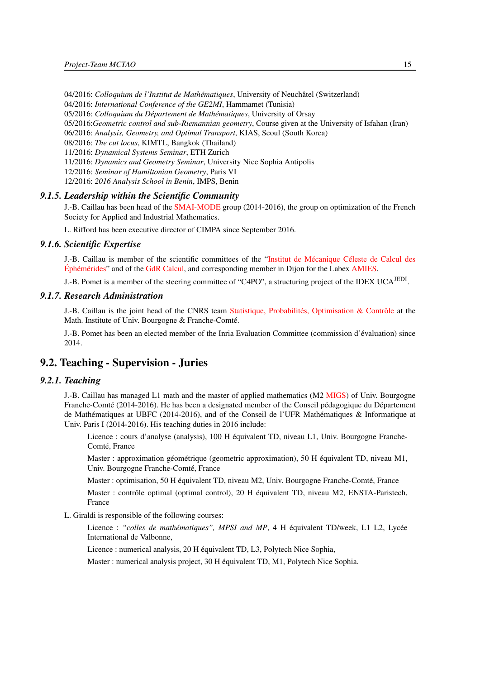04/2016: *Colloquium de l'Institut de Mathématiques*, University of Neuchâtel (Switzerland)

04/2016: *International Conference of the GE2MI*, Hammamet (Tunisia)

05/2016: *Colloquium du Département de Mathématiques*, University of Orsay

05/2016:*Geometric control and sub-Riemannian geometry*, Course given at the University of Isfahan (Iran)

06/2016: *Analysis, Geometry, and Optimal Transport*, KIAS, Seoul (South Korea)

08/2016: *The cut locus*, KIMTL, Bangkok (Thailand)

11/2016: *Dynamical Systems Seminar*, ETH Zurich

11/2016: *Dynamics and Geometry Seminar*, University Nice Sophia Antipolis

12/2016: *Seminar of Hamiltonian Geometry*, Paris VI

<span id="page-18-0"></span>12/2016: *2016 Analysis School in Benin*, IMPS, Benin

#### *9.1.5. Leadership within the Scientific Community*

J.-B. Caillau has been head of the [SMAI-MODE](http://smai.emath.fr/spip.php?article338) group (2014-2016), the group on optimization of the French Society for Applied and Industrial Mathematics.

<span id="page-18-1"></span>L. Rifford has been executive director of CIMPA since September 2016.

## *9.1.6. Scientific Expertise*

J.-B. Caillau is member of the scientific committees of the ["Institut de Mécanique Céleste de Calcul des](https://www.imcce.fr) [Éphémérides"](https://www.imcce.fr) and of the [GdR Calcul,](http://calcul.math.cnrs.fr/spip.php?article79) and corresponding member in Dijon for the Labex [AMIES.](http://www.agence-maths-entreprises.fr)

<span id="page-18-2"></span>J.-B. Pomet is a member of the steering committee of "C4PO", a structuring project of the IDEX UCA<sup>JEDI</sup>.

## *9.1.7. Research Administration*

J.-B. Caillau is the joint head of the CNRS team [Statistique, Probabilités, Optimisation & Contrôle](http://math.u-bourgogne.fr/spip.php?rubrique26) at the Math. Institute of Univ. Bourgogne & Franche-Comté.

<span id="page-18-3"></span>J.-B. Pomet has been an elected member of the Inria Evaluation Committee (commission d'évaluation) since 2014.

# 9.2. Teaching - Supervision - Juries

# *9.2.1. Teaching*

<span id="page-18-4"></span>J.-B. Caillau has managed L1 math and the master of applied mathematics (M2 [MIGS\)](http://blog.u-bourgogne.fr/migs) of Univ. Bourgogne Franche-Comté (2014-2016). He has been a designated member of the Conseil pédagogique du Département de Mathématiques at UBFC (2014-2016), and of the Conseil de l'UFR Mathématiques & Informatique at Univ. Paris I (2014-2016). His teaching duties in 2016 include:

Licence : cours d'analyse (analysis), 100 H équivalent TD, niveau L1, Univ. Bourgogne Franche-Comté, France

Master : approximation géométrique (geometric approximation), 50 H équivalent TD, niveau M1, Univ. Bourgogne Franche-Comté, France

Master : optimisation, 50 H équivalent TD, niveau M2, Univ. Bourgogne Franche-Comté, France

Master : contrôle optimal (optimal control), 20 H équivalent TD, niveau M2, ENSTA-Paristech, France

L. Giraldi is responsible of the following courses:

Licence : *"colles de mathématiques", MPSI and MP*, 4 H équivalent TD/week, L1 L2, Lycée International de Valbonne,

Licence : numerical analysis, 20 H équivalent TD, L3, Polytech Nice Sophia,

Master : numerical analysis project, 30 H équivalent TD, M1, Polytech Nice Sophia.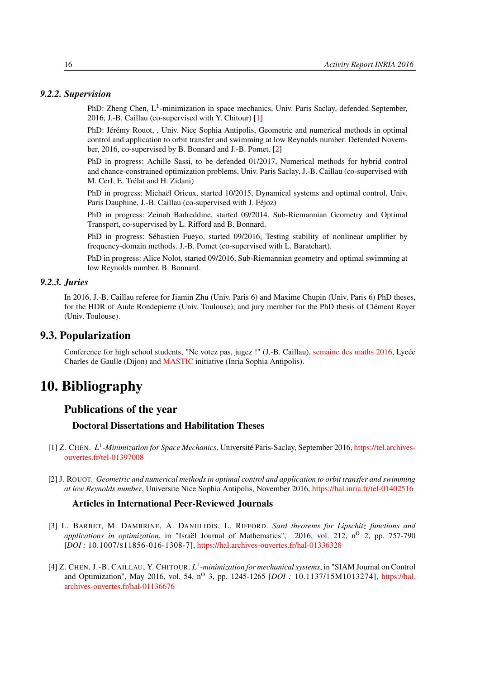#### <span id="page-19-0"></span>*9.2.2. Supervision*

PhD: Zheng Chen,  $L^1$ -minimization in space mechanics, Univ. Paris Saclay, defended September, 2016, J.-B. Caillau (co-supervised with Y. Chitour) [\[1\]](#page-19-6)

PhD: Jérémy Rouot, , Univ. Nice Sophia Antipolis, Geometric and numerical methods in optimal control and application to orbit transfer and swimming at low Reynolds number. Defended November, 2016, co-supervised by B. Bonnard and J.-B. Pomet. [\[2\]](#page-19-5)

PhD in progress: Achille Sassi, to be defended 01/2017, Numerical methods for hybrid control and chance-constrained optimization problems, Univ. Paris Saclay, J.-B. Caillau (co-supervised with M. Cerf, E. Trélat and H. Zidani)

PhD in progress: Michaël Orieux, started 10/2015, Dynamical systems and optimal control, Univ. Paris Dauphine, J.-B. Caillau (co-supervised with J. Féjoz)

PhD in progress: Zeinab Badreddine, started 09/2014, Sub-Riemannian Geometry and Optimal Transport, co-supervised by L. Rifford and B. Bonnard.

PhD in progress: Sébastien Fueyo, started 09/2016, Testing stability of nonlinear amplifier by frequency-domain methods. J.-B. Pomet (co-supervised with L. Baratchart).

PhD in progress: Alice Nolot, started 09/2016, Sub-Riemannian geometry and optimal swimming at low Reynolds number. B. Bonnard.

#### *9.2.3. Juries*

<span id="page-19-1"></span>In 2016, J.-B. Caillau referee for Jiamin Zhu (Univ. Paris 6) and Maxime Chupin (Univ. Paris 6) PhD theses, for the HDR of Aude Rondepierre (Univ. Toulouse), and jury member for the PhD thesis of Clément Royer (Univ. Toulouse).

# 9.3. Popularization

<span id="page-19-2"></span>Conference for high school students, "Ne votez pas, jugez !" (J.-B. Caillau), [semaine des maths 2016,](http://www.education.gouv.fr/cid59384/la-semaine-des-mathematiques.html) Lycée Charles de Gaulle (Dijon) and [MASTIC](https://project.inria.fr/mastic/conferences/algorithmes-jeux-graphes) initiative (Inria Sophia Antipolis).

# <span id="page-19-3"></span>10. Bibliography

# Publications of the year

#### Doctoral Dissertations and Habilitation Theses

- <span id="page-19-6"></span>[1] Z. CHEN. L<sup>1</sup>-Minimization for Space Mechanics, Université Paris-Saclay, September 2016, [https://tel.archives](https://tel.archives-ouvertes.fr/tel-01397008)[ouvertes.fr/tel-01397008](https://tel.archives-ouvertes.fr/tel-01397008)
- <span id="page-19-5"></span>[2] J. ROUOT. *Geometric and numerical methods in optimal control and application to orbit transfer and swimming at low Reynolds number*, Universite Nice Sophia Antipolis, November 2016, <https://hal.inria.fr/tel-01402516>

#### Articles in International Peer-Reviewed Journals

- [3] L. BARBET, M. DAMBRINE, A. DANIILIDIS, L. RIFFORD. *Sard theorems for Lipschitz functions and applications in optimization*, in "Israël Journal of Mathematics", 2016, vol. 212, no 2, pp. 757-790 [*DOI :* 10.1007/S11856-016-1308-7], <https://hal.archives-ouvertes.fr/hal-01336328>
- <span id="page-19-4"></span>[4] Z. CHEN, J.-B. CAILLAU, Y. CHITOUR. *L* 1 *-minimization for mechanical systems*, in "SIAM Journal on Control and Optimization", May 2016, vol. 54, n<sup>o</sup> 3, pp. 1245-1265 [*DOI*: 10.1137/15M1013274], [https://hal.](https://hal.archives-ouvertes.fr/hal-01136676) [archives-ouvertes.fr/hal-01136676](https://hal.archives-ouvertes.fr/hal-01136676)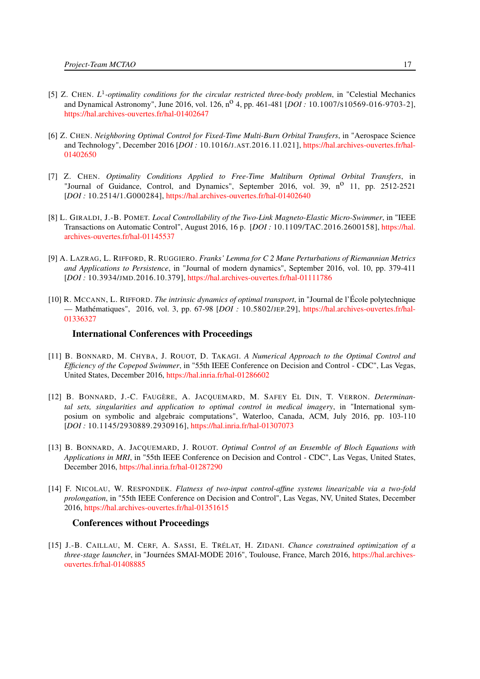- [5] Z. CHEN. *L*<sup>1</sup>-optimality conditions for the circular restricted three-body problem, in "Celestial Mechanics and Dynamical Astronomy", June 2016, vol. 126, n<sup>o</sup> 4, pp. 461-481 [*DOI* : 10.1007/s10569-016-9703-2], <https://hal.archives-ouvertes.fr/hal-01402647>
- [6] Z. CHEN. *Neighboring Optimal Control for Fixed-Time Multi-Burn Orbital Transfers*, in "Aerospace Science and Technology", December 2016 [*DOI :* 10.1016/J.AST.2016.11.021], [https://hal.archives-ouvertes.fr/hal-](https://hal.archives-ouvertes.fr/hal-01402650)[01402650](https://hal.archives-ouvertes.fr/hal-01402650)
- [7] Z. CHEN. *Optimality Conditions Applied to Free-Time Multiburn Optimal Orbital Transfers*, in "Journal of Guidance, Control, and Dynamics", September 2016, vol. 39, n<sup>o</sup> 11, pp. 2512-2521 [*DOI :* 10.2514/1.G000284], <https://hal.archives-ouvertes.fr/hal-01402640>
- <span id="page-20-2"></span>[8] L. GIRALDI, J.-B. POMET. *Local Controllability of the Two-Link Magneto-Elastic Micro-Swimmer*, in "IEEE Transactions on Automatic Control", August 2016, 16 p. [*DOI :* 10.1109/TAC.2016.2600158], [https://hal.](https://hal.archives-ouvertes.fr/hal-01145537) [archives-ouvertes.fr/hal-01145537](https://hal.archives-ouvertes.fr/hal-01145537)
- <span id="page-20-3"></span>[9] A. LAZRAG, L. RIFFORD, R. RUGGIERO. *Franks' Lemma for C 2 Mane Perturbations of Riemannian Metrics and Applications to Persistence*, in "Journal of modern dynamics", September 2016, vol. 10, pp. 379-411 [*DOI :* 10.3934/JMD.2016.10.379], <https://hal.archives-ouvertes.fr/hal-01111786>
- [10] R. MCCANN, L. RIFFORD. *The intrinsic dynamics of optimal transport*, in "Journal de l'École polytechnique — Mathématiques", 2016, vol. 3, pp. 67-98 [*DOI :* 10.5802/JEP.29], [https://hal.archives-ouvertes.fr/hal-](https://hal.archives-ouvertes.fr/hal-01336327)[01336327](https://hal.archives-ouvertes.fr/hal-01336327)

#### International Conferences with Proceedings

- <span id="page-20-1"></span>[11] B. BONNARD, M. CHYBA, J. ROUOT, D. TAKAGI. *A Numerical Approach to the Optimal Control and Efficiency of the Copepod Swimmer*, in "55th IEEE Conference on Decision and Control - CDC", Las Vegas, United States, December 2016, <https://hal.inria.fr/hal-01286602>
- <span id="page-20-0"></span>[12] B. BONNARD, J.-C. FAUGÈRE, A. JACQUEMARD, M. SAFEY EL DIN, T. VERRON. *Determinantal sets, singularities and application to optimal control in medical imagery*, in "International symposium on symbolic and algebraic computations", Waterloo, Canada, ACM, July 2016, pp. 103-110 [*DOI :* 10.1145/2930889.2930916], <https://hal.inria.fr/hal-01307073>
- [13] B. BONNARD, A. JACQUEMARD, J. ROUOT. *Optimal Control of an Ensemble of Bloch Equations with Applications in MRI*, in "55th IEEE Conference on Decision and Control - CDC", Las Vegas, United States, December 2016, <https://hal.inria.fr/hal-01287290>
- [14] F. NICOLAU, W. RESPONDEK. *Flatness of two-input control-affine systems linearizable via a two-fold prolongation*, in "55th IEEE Conference on Decision and Control", Las Vegas, NV, United States, December 2016, <https://hal.archives-ouvertes.fr/hal-01351615>

#### Conferences without Proceedings

[15] J.-B. CAILLAU, M. CERF, A. SASSI, E. TRÉLAT, H. ZIDANI. *Chance constrained optimization of a three-stage launcher*, in "Journées SMAI-MODE 2016", Toulouse, France, March 2016, [https://hal.archives](https://hal.archives-ouvertes.fr/hal-01408885)[ouvertes.fr/hal-01408885](https://hal.archives-ouvertes.fr/hal-01408885)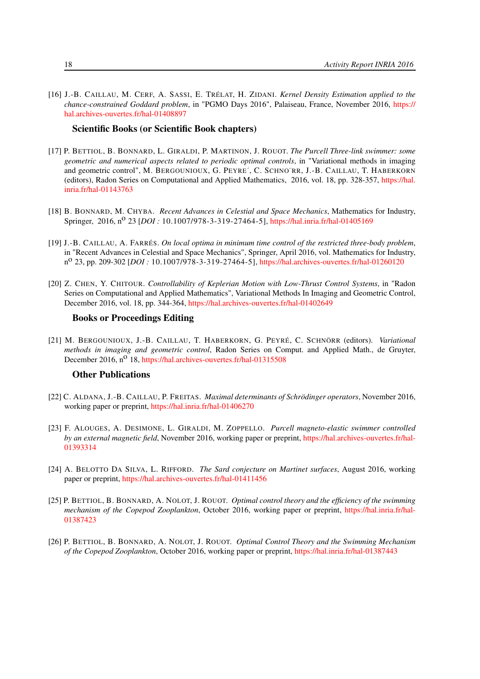[16] J.-B. CAILLAU, M. CERF, A. SASSI, E. TRÉLAT, H. ZIDANI. *Kernel Density Estimation applied to the chance-constrained Goddard problem*, in "PGMO Days 2016", Palaiseau, France, November 2016, [https://](https://hal.archives-ouvertes.fr/hal-01408897) [hal.archives-ouvertes.fr/hal-01408897](https://hal.archives-ouvertes.fr/hal-01408897)

#### Scientific Books (or Scientific Book chapters)

- <span id="page-21-1"></span>[17] P. BETTIOL, B. BONNARD, L. GIRALDI, P. MARTINON, J. ROUOT. *The Purcell Three-link swimmer: some geometric and numerical aspects related to periodic optimal controls*, in "Variational methods in imaging and geometric control", M. BERGOUNIOUX, G. PEYRE´, C. SCHNO¨RR, J.-B. CAILLAU, T. HABERKORN (editors), Radon Series on Computational and Applied Mathematics, 2016, vol. 18, pp. 328-357, [https://hal.](https://hal.inria.fr/hal-01143763) [inria.fr/hal-01143763](https://hal.inria.fr/hal-01143763)
- <span id="page-21-7"></span>[18] B. BONNARD, M. CHYBA. *Recent Advances in Celestial and Space Mechanics*, Mathematics for Industry, Springer, 2016, n<sup>o</sup> 23 [*DOI* : 10.1007/978-3-319-27464-5], <https://hal.inria.fr/hal-01405169>
- <span id="page-21-0"></span>[19] J.-B. CAILLAU, A. FARRÉS. *On local optima in minimum time control of the restricted three-body problem*, in "Recent Advances in Celestial and Space Mechanics", Springer, April 2016, vol. Mathematics for Industry, n o 23, pp. 209-302 [*DOI :* 10.1007/978-3-319-27464-5], <https://hal.archives-ouvertes.fr/hal-01260120>
- [20] Z. CHEN, Y. CHITOUR. *Controllability of Keplerian Motion with Low-Thrust Control Systems*, in "Radon Series on Computational and Applied Mathematics", Variational Methods In Imaging and Geometric Control, December 2016, vol. 18, pp. 344-364, <https://hal.archives-ouvertes.fr/hal-01402649>

#### Books or Proceedings Editing

<span id="page-21-8"></span>[21] M. BERGOUNIOUX, J.-B. CAILLAU, T. HABERKORN, G. PEYRÉ, C. SCHNÖRR (editors). *Variational methods in imaging and geometric control*, Radon Series on Comput. and Applied Math., de Gruyter, December 2016, n<sup>o</sup> 18, <https://hal.archives-ouvertes.fr/hal-01315508>

#### Other Publications

- [22] C. ALDANA, J.-B. CAILLAU, P. FREITAS. *Maximal determinants of Schrödinger operators*, November 2016, working paper or preprint, <https://hal.inria.fr/hal-01406270>
- <span id="page-21-5"></span>[23] F. ALOUGES, A. DESIMONE, L. GIRALDI, M. ZOPPELLO. *Purcell magneto-elastic swimmer controlled by an external magnetic field*, November 2016, working paper or preprint, [https://hal.archives-ouvertes.fr/hal-](https://hal.archives-ouvertes.fr/hal-01393314)[01393314](https://hal.archives-ouvertes.fr/hal-01393314)
- <span id="page-21-6"></span>[24] A. BELOTTO DA SILVA, L. RIFFORD. *The Sard conjecture on Martinet surfaces*, August 2016, working paper or preprint, <https://hal.archives-ouvertes.fr/hal-01411456>
- <span id="page-21-3"></span>[25] P. BETTIOL, B. BONNARD, A. NOLOT, J. ROUOT. *Optimal control theory and the efficiency of the swimming mechanism of the Copepod Zooplankton*, October 2016, working paper or preprint, [https://hal.inria.fr/hal-](https://hal.inria.fr/hal-01387423)[01387423](https://hal.inria.fr/hal-01387423)
- <span id="page-21-4"></span><span id="page-21-2"></span>[26] P. BETTIOL, B. BONNARD, A. NOLOT, J. ROUOT. *Optimal Control Theory and the Swimming Mechanism of the Copepod Zooplankton*, October 2016, working paper or preprint, <https://hal.inria.fr/hal-01387443>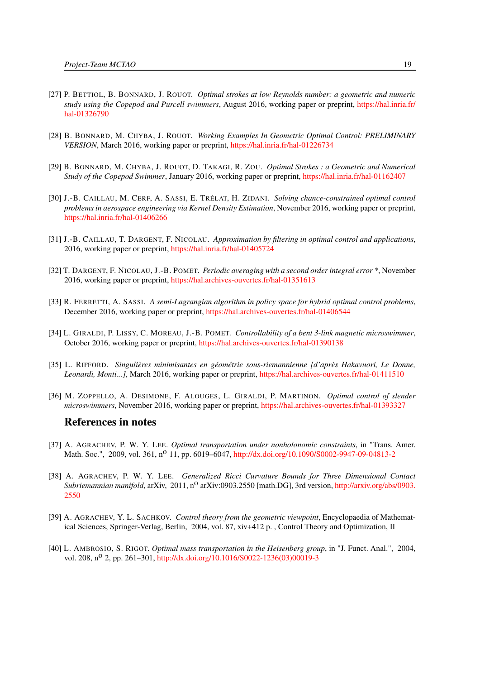- [27] P. BETTIOL, B. BONNARD, J. ROUOT. *Optimal strokes at low Reynolds number: a geometric and numeric study using the Copepod and Purcell swimmers*, August 2016, working paper or preprint, [https://hal.inria.fr/](https://hal.inria.fr/hal-01326790) [hal-01326790](https://hal.inria.fr/hal-01326790)
- <span id="page-22-10"></span>[28] B. BONNARD, M. CHYBA, J. ROUOT. *Working Examples In Geometric Optimal Control: PRELIMINARY VERSION*, March 2016, working paper or preprint, <https://hal.inria.fr/hal-01226734>
- <span id="page-22-8"></span>[29] B. BONNARD, M. CHYBA, J. ROUOT, D. TAKAGI, R. ZOU. *Optimal Strokes : a Geometric and Numerical Study of the Copepod Swimmer*, January 2016, working paper or preprint, <https://hal.inria.fr/hal-01162407>
- <span id="page-22-4"></span>[30] J.-B. CAILLAU, M. CERF, A. SASSI, E. TRÉLAT, H. ZIDANI. *Solving chance-constrained optimal control problems in aerospace engineering via Kernel Density Estimation*, November 2016, working paper or preprint, <https://hal.inria.fr/hal-01406266>
- <span id="page-22-5"></span>[31] J.-B. CAILLAU, T. DARGENT, F. NICOLAU. *Approximation by filtering in optimal control and applications*, 2016, working paper or preprint, <https://hal.inria.fr/hal-01405724>
- <span id="page-22-6"></span>[32] T. DARGENT, F. NICOLAU, J.-B. POMET. *Periodic averaging with a second order integral error \**, November 2016, working paper or preprint, <https://hal.archives-ouvertes.fr/hal-01351613>
- [33] R. FERRETTI, A. SASSI. *A semi-Lagrangian algorithm in policy space for hybrid optimal control problems*, December 2016, working paper or preprint, <https://hal.archives-ouvertes.fr/hal-01406544>
- <span id="page-22-9"></span>[34] L. GIRALDI, P. LISSY, C. MOREAU, J.-B. POMET. *Controllability of a bent 3-link magnetic microswimmer*, October 2016, working paper or preprint, <https://hal.archives-ouvertes.fr/hal-01390138>
- [35] L. RIFFORD. *Singulières minimisantes en géométrie sous-riemannienne [d'après Hakavuori, Le Donne, Leonardi, Monti...]*, March 2016, working paper or preprint, <https://hal.archives-ouvertes.fr/hal-01411510>
- <span id="page-22-7"></span>[36] M. ZOPPELLO, A. DESIMONE, F. ALOUGES, L. GIRALDI, P. MARTINON. *Optimal control of slender microswimmers*, November 2016, working paper or preprint, <https://hal.archives-ouvertes.fr/hal-01393327>

# References in notes

- <span id="page-22-2"></span>[37] A. AGRACHEV, P. W. Y. LEE. *Optimal transportation under nonholonomic constraints*, in "Trans. Amer. Math. Soc.", 2009, vol. 361, n<sup>o</sup> 11, pp. 6019–6047, <http://dx.doi.org/10.1090/S0002-9947-09-04813-2>
- <span id="page-22-3"></span>[38] A. AGRACHEV, P. W. Y. LEE. *Generalized Ricci Curvature Bounds for Three Dimensional Contact Subriemannian manifold*, arXiv, 2011, n<sup>o</sup> arXiv:0903.2550 [math.DG], 3rd version, [http://arxiv.org/abs/0903.](http://arxiv.org/abs/0903.2550) [2550](http://arxiv.org/abs/0903.2550)
- <span id="page-22-0"></span>[39] A. AGRACHEV, Y. L. SACHKOV. *Control theory from the geometric viewpoint*, Encyclopaedia of Mathematical Sciences, Springer-Verlag, Berlin, 2004, vol. 87, xiv+412 p. , Control Theory and Optimization, II
- <span id="page-22-1"></span>[40] L. AMBROSIO, S. RIGOT. *Optimal mass transportation in the Heisenberg group*, in "J. Funct. Anal.", 2004, vol. 208, n<sup>o</sup> 2, pp. 261–301, [http://dx.doi.org/10.1016/S0022-1236\(03\)00019-3](http://dx.doi.org/10.1016/S0022-1236(03)00019-3)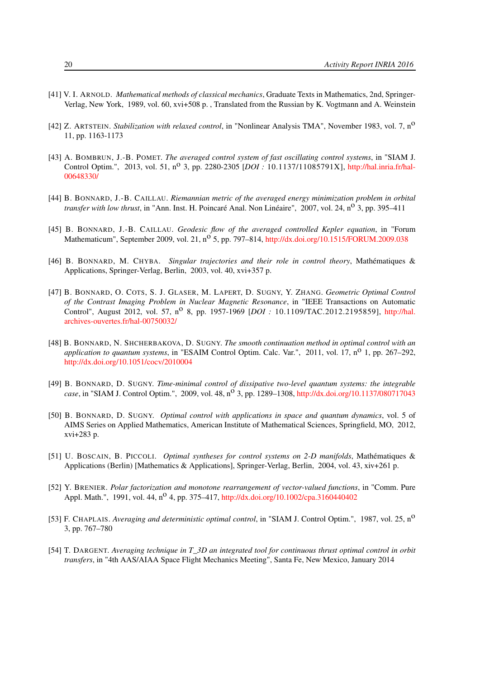- <span id="page-23-4"></span>[41] V. I. ARNOLD. *Mathematical methods of classical mechanics*, Graduate Texts in Mathematics, 2nd, Springer-Verlag, New York, 1989, vol. 60, xvi+508 p. , Translated from the Russian by K. Vogtmann and A. Weinstein
- <span id="page-23-2"></span>[42] Z. ARTSTEIN. *Stabilization with relaxed control*, in "Nonlinear Analysis TMA", November 1983, vol. 7, no 11, pp. 1163-1173
- <span id="page-23-8"></span>[43] A. BOMBRUN, J.-B. POMET. *The averaged control system of fast oscillating control systems*, in "SIAM J. Control Optim.", 2013, vol. 51, n<sup>o</sup> 3, pp. 2280-2305 [*DOI*: 10.1137/11085791X], [http://hal.inria.fr/hal-](http://hal.inria.fr/hal-00648330/)[00648330/](http://hal.inria.fr/hal-00648330/)
- <span id="page-23-5"></span>[44] B. BONNARD, J.-B. CAILLAU. *Riemannian metric of the averaged energy minimization problem in orbital transfer with low thrust*, in "Ann. Inst. H. Poincaré Anal. Non Linéaire", 2007, vol. 24, n<sup>o</sup> 3, pp. 395–411
- <span id="page-23-6"></span>[45] B. BONNARD, J.-B. CAILLAU. *Geodesic flow of the averaged controlled Kepler equation*, in "Forum Mathematicum", September 2009, vol. 21, n<sup>o</sup> 5, pp. 797–814, <http://dx.doi.org/10.1515/FORUM.2009.038>
- <span id="page-23-0"></span>[46] B. BONNARD, M. CHYBA. *Singular trajectories and their role in control theory*, Mathématiques & Applications, Springer-Verlag, Berlin, 2003, vol. 40, xvi+357 p.
- <span id="page-23-11"></span>[47] B. BONNARD, O. COTS, S. J. GLASER, M. LAPERT, D. SUGNY, Y. ZHANG. *Geometric Optimal Control of the Contrast Imaging Problem in Nuclear Magnetic Resonance*, in "IEEE Transactions on Automatic Control", August 2012, vol. 57, n<sup>o</sup> 8, pp. 1957-1969 [*DOI*: 10.1109/TAC.2012.2195859], [http://hal.](http://hal.archives-ouvertes.fr/hal-00750032/) [archives-ouvertes.fr/hal-00750032/](http://hal.archives-ouvertes.fr/hal-00750032/)
- <span id="page-23-10"></span>[48] B. BONNARD, N. SHCHERBAKOVA, D. SUGNY. *The smooth continuation method in optimal control with an application to quantum systems*, in "ESAIM Control Optim. Calc. Var.", 2011, vol. 17,  $n^{\circ}$  1, pp. 267–292, <http://dx.doi.org/10.1051/cocv/2010004>
- <span id="page-23-9"></span>[49] B. BONNARD, D. SUGNY. *Time-minimal control of dissipative two-level quantum systems: the integrable case*, in "SIAM J. Control Optim.", 2009, vol. 48, n<sup>o</sup> 3, pp. 1289–1308, <http://dx.doi.org/10.1137/080717043>
- <span id="page-23-12"></span>[50] B. BONNARD, D. SUGNY. *Optimal control with applications in space and quantum dynamics*, vol. 5 of AIMS Series on Applied Mathematics, American Institute of Mathematical Sciences, Springfield, MO, 2012, xvi+283 p.
- <span id="page-23-1"></span>[51] U. BOSCAIN, B. PICCOLI. *Optimal syntheses for control systems on 2-D manifolds*, Mathématiques & Applications (Berlin) [Mathematics & Applications], Springer-Verlag, Berlin, 2004, vol. 43, xiv+261 p.
- <span id="page-23-3"></span>[52] Y. BRENIER. *Polar factorization and monotone rearrangement of vector-valued functions*, in "Comm. Pure Appl. Math.", 1991, vol. 44, n<sup>o</sup> 4, pp. 375-417, <http://dx.doi.org/10.1002/cpa.3160440402>
- <span id="page-23-7"></span>[53] F. CHAPLAIS. *Averaging and deterministic optimal control*, in "SIAM J. Control Optim.", 1987, vol. 25, no 3, pp. 767–780
- <span id="page-23-13"></span>[54] T. DARGENT. *Averaging technique in T\_3D an integrated tool for continuous thrust optimal control in orbit transfers*, in "4th AAS/AIAA Space Flight Mechanics Meeting", Santa Fe, New Mexico, January 2014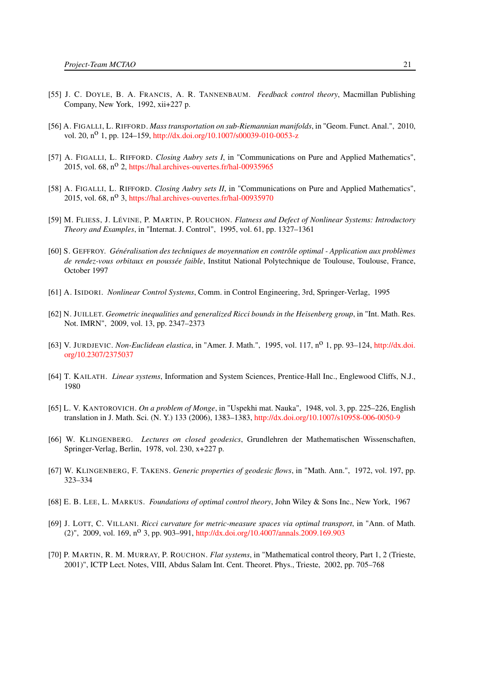- <span id="page-24-1"></span>[55] J. C. DOYLE, B. A. FRANCIS, A. R. TANNENBAUM. *Feedback control theory*, Macmillan Publishing Company, New York, 1992, xii+227 p.
- <span id="page-24-7"></span>[56] A. FIGALLI, L. RIFFORD. *Mass transportation on sub-Riemannian manifolds*, in "Geom. Funct. Anal.", 2010, vol. 20, n<sup>o</sup> 1, pp. 124–159, <http://dx.doi.org/10.1007/s00039-010-0053-z>
- <span id="page-24-15"></span>[57] A. FIGALLI, L. RIFFORD. *Closing Aubry sets I*, in "Communications on Pure and Applied Mathematics", 2015, vol. 68,  $n^{\circ}$  2, <https://hal.archives-ouvertes.fr/hal-00935965>
- <span id="page-24-14"></span>[58] A. FIGALLI, L. RIFFORD. *Closing Aubry sets II*, in "Communications on Pure and Applied Mathematics", 2015, vol. 68, n<sup>o</sup> 3, <https://hal.archives-ouvertes.fr/hal-00935970>
- <span id="page-24-2"></span>[59] M. FLIESS, J. LÉVINE, P. MARTIN, P. ROUCHON. *Flatness and Defect of Nonlinear Systems: Introductory Theory and Examples*, in "Internat. J. Control", 1995, vol. 61, pp. 1327–1361
- <span id="page-24-10"></span>[60] S. GEFFROY. *Généralisation des techniques de moyennation en contrôle optimal - Application aux problèmes de rendez-vous orbitaux en poussée faible*, Institut National Polytechnique de Toulouse, Toulouse, France, October 1997
- <span id="page-24-5"></span>[61] A. ISIDORI. *Nonlinear Control Systems*, Comm. in Control Engineering, 3rd, Springer-Verlag, 1995
- <span id="page-24-9"></span>[62] N. JUILLET. *Geometric inequalities and generalized Ricci bounds in the Heisenberg group*, in "Int. Math. Res. Not. IMRN", 2009, vol. 13, pp. 2347–2373
- <span id="page-24-11"></span>[63] V. JURDJEVIC. *Non-Euclidean elastica*, in "Amer. J. Math.", 1995, vol. 117, no 1, pp. 93–124, [http://dx.doi.](http://dx.doi.org/10.2307/2375037) [org/10.2307/2375037](http://dx.doi.org/10.2307/2375037)
- <span id="page-24-0"></span>[64] T. KAILATH. *Linear systems*, Information and System Sciences, Prentice-Hall Inc., Englewood Cliffs, N.J., 1980
- <span id="page-24-6"></span>[65] L. V. KANTOROVICH. *On a problem of Monge*, in "Uspekhi mat. Nauka", 1948, vol. 3, pp. 225–226, English translation in J. Math. Sci. (N. Y.) 133 (2006), 1383–1383, <http://dx.doi.org/10.1007/s10958-006-0050-9>
- <span id="page-24-12"></span>[66] W. KLINGENBERG. *Lectures on closed geodesics*, Grundlehren der Mathematischen Wissenschaften, Springer-Verlag, Berlin, 1978, vol. 230, x+227 p.
- <span id="page-24-13"></span>[67] W. KLINGENBERG, F. TAKENS. *Generic properties of geodesic flows*, in "Math. Ann.", 1972, vol. 197, pp. 323–334
- <span id="page-24-4"></span>[68] E. B. LEE, L. MARKUS. *Foundations of optimal control theory*, John Wiley & Sons Inc., New York, 1967
- <span id="page-24-8"></span>[69] J. LOTT, C. VILLANI. *Ricci curvature for metric-measure spaces via optimal transport*, in "Ann. of Math. (2)", 2009, vol. 169,  $n^0$  3, pp. 903–991, <http://dx.doi.org/10.4007/annals.2009.169.903>
- <span id="page-24-3"></span>[70] P. MARTIN, R. M. MURRAY, P. ROUCHON. *Flat systems*, in "Mathematical control theory, Part 1, 2 (Trieste, 2001)", ICTP Lect. Notes, VIII, Abdus Salam Int. Cent. Theoret. Phys., Trieste, 2002, pp. 705–768